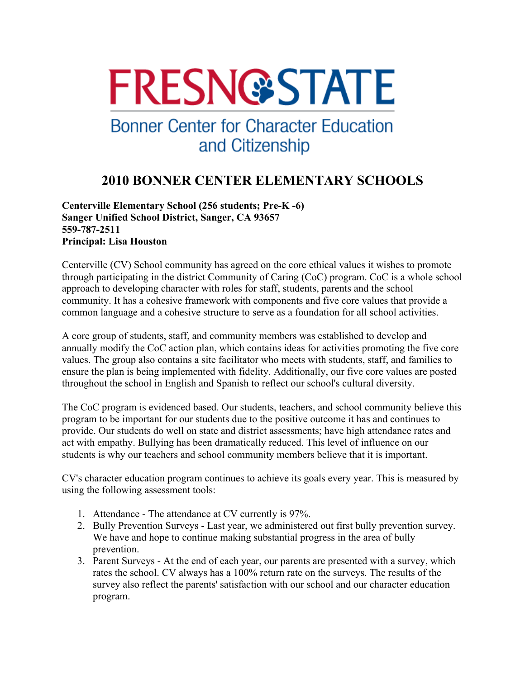# **FRESN@STATE**

## **Bonner Center for Character Education** and Citizenship

### **2010 BONNER CENTER ELEMENTARY SCHOOLS**

#### **Centerville Elementary School (256 students; Pre-K -6) Sanger Unified School District, Sanger, CA 93657 559-787-2511 Principal: Lisa Houston**

Centerville (CV) School community has agreed on the core ethical values it wishes to promote through participating in the district Community of Caring (CoC) program. CoC is a whole school approach to developing character with roles for staff, students, parents and the school community. It has a cohesive framework with components and five core values that provide a common language and a cohesive structure to serve as a foundation for all school activities.

A core group of students, staff, and community members was established to develop and annually modify the CoC action plan, which contains ideas for activities promoting the five core values. The group also contains a site facilitator who meets with students, staff, and families to ensure the plan is being implemented with fidelity. Additionally, our five core values are posted throughout the school in English and Spanish to reflect our school's cultural diversity.

The CoC program is evidenced based. Our students, teachers, and school community believe this program to be important for our students due to the positive outcome it has and continues to provide. Our students do well on state and district assessments; have high attendance rates and act with empathy. Bullying has been dramatically reduced. This level of influence on our students is why our teachers and school community members believe that it is important.

CV's character education program continues to achieve its goals every year. This is measured by using the following assessment tools:

- 1. Attendance The attendance at CV currently is 97%.
- 2. Bully Prevention Surveys Last year, we administered out first bully prevention survey. We have and hope to continue making substantial progress in the area of bully prevention.
- 3. Parent Surveys At the end of each year, our parents are presented with a survey, which rates the school. CV always has a 100% return rate on the surveys. The results of the survey also reflect the parents' satisfaction with our school and our character education program.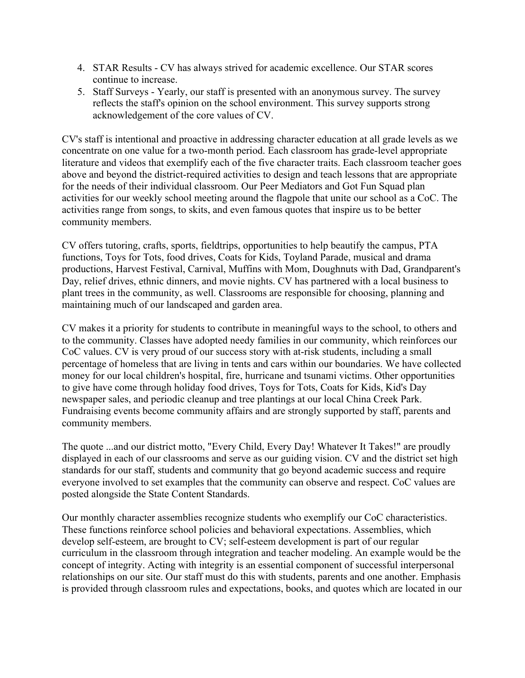- 4. STAR Results CV has always strived for academic excellence. Our STAR scores continue to increase.
- 5. Staff Surveys Yearly, our staff is presented with an anonymous survey. The survey reflects the staff's opinion on the school environment. This survey supports strong acknowledgement of the core values of CV.

CV's staff is intentional and proactive in addressing character education at all grade levels as we concentrate on one value for a two-month period. Each classroom has grade-level appropriate literature and videos that exemplify each of the five character traits. Each classroom teacher goes above and beyond the district-required activities to design and teach lessons that are appropriate for the needs of their individual classroom. Our Peer Mediators and Got Fun Squad plan activities for our weekly school meeting around the flagpole that unite our school as a CoC. The activities range from songs, to skits, and even famous quotes that inspire us to be better community members.

CV offers tutoring, crafts, sports, fieldtrips, opportunities to help beautify the campus, PTA functions, Toys for Tots, food drives, Coats for Kids, Toyland Parade, musical and drama productions, Harvest Festival, Carnival, Muffins with Mom, Doughnuts with Dad, Grandparent's Day, relief drives, ethnic dinners, and movie nights. CV has partnered with a local business to plant trees in the community, as well. Classrooms are responsible for choosing, planning and maintaining much of our landscaped and garden area.

CV makes it a priority for students to contribute in meaningful ways to the school, to others and to the community. Classes have adopted needy families in our community, which reinforces our CoC values. CV is very proud of our success story with at-risk students, including a small percentage of homeless that are living in tents and cars within our boundaries. We have collected money for our local children's hospital, fire, hurricane and tsunami victims. Other opportunities to give have come through holiday food drives, Toys for Tots, Coats for Kids, Kid's Day newspaper sales, and periodic cleanup and tree plantings at our local China Creek Park. Fundraising events become community affairs and are strongly supported by staff, parents and community members.

The quote ...and our district motto, "Every Child, Every Day! Whatever It Takes!" are proudly displayed in each of our classrooms and serve as our guiding vision. CV and the district set high standards for our staff, students and community that go beyond academic success and require everyone involved to set examples that the community can observe and respect. CoC values are posted alongside the State Content Standards.

Our monthly character assemblies recognize students who exemplify our CoC characteristics. These functions reinforce school policies and behavioral expectations. Assemblies, which develop self-esteem, are brought to CV; self-esteem development is part of our regular curriculum in the classroom through integration and teacher modeling. An example would be the concept of integrity. Acting with integrity is an essential component of successful interpersonal relationships on our site. Our staff must do this with students, parents and one another. Emphasis is provided through classroom rules and expectations, books, and quotes which are located in our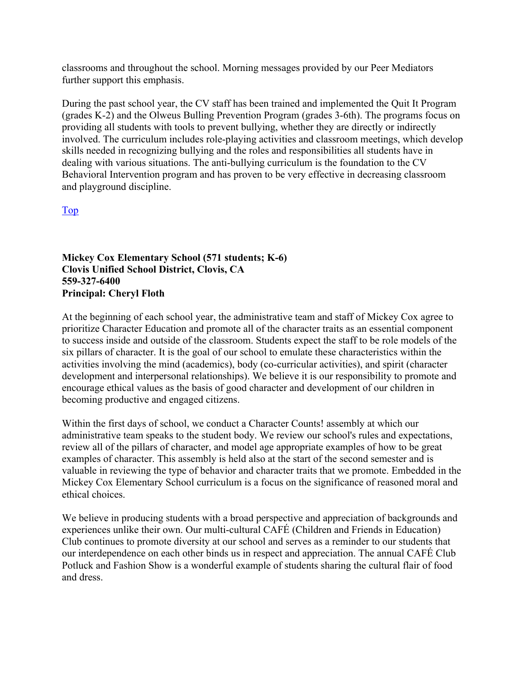classrooms and throughout the school. Morning messages provided by our Peer Mediators further support this emphasis.

During the past school year, the CV staff has been trained and implemented the Quit It Program (grades K-2) and the Olweus Bulling Prevention Program (grades 3-6th). The programs focus on providing all students with tools to prevent bullying, whether they are directly or indirectly involved. The curriculum includes role-playing activities and classroom meetings, which develop skills needed in recognizing bullying and the roles and responsibilities all students have in dealing with various situations. The anti-bullying curriculum is the foundation to the CV Behavioral Intervention program and has proven to be very effective in decreasing classroom and playground discipline.

Top

**Mickey Cox Elementary School (571 students; K-6) Clovis Unified School District, Clovis, CA 559-327-6400 Principal: Cheryl Floth** 

At the beginning of each school year, the administrative team and staff of Mickey Cox agree to prioritize Character Education and promote all of the character traits as an essential component to success inside and outside of the classroom. Students expect the staff to be role models of the six pillars of character. It is the goal of our school to emulate these characteristics within the activities involving the mind (academics), body (co-curricular activities), and spirit (character development and interpersonal relationships). We believe it is our responsibility to promote and encourage ethical values as the basis of good character and development of our children in becoming productive and engaged citizens.

Within the first days of school, we conduct a Character Counts! assembly at which our administrative team speaks to the student body. We review our school's rules and expectations, review all of the pillars of character, and model age appropriate examples of how to be great examples of character. This assembly is held also at the start of the second semester and is valuable in reviewing the type of behavior and character traits that we promote. Embedded in the Mickey Cox Elementary School curriculum is a focus on the significance of reasoned moral and ethical choices.

We believe in producing students with a broad perspective and appreciation of backgrounds and experiences unlike their own. Our multi-cultural CAFÉ (Children and Friends in Education) Club continues to promote diversity at our school and serves as a reminder to our students that our interdependence on each other binds us in respect and appreciation. The annual CAFÉ Club Potluck and Fashion Show is a wonderful example of students sharing the cultural flair of food and dress.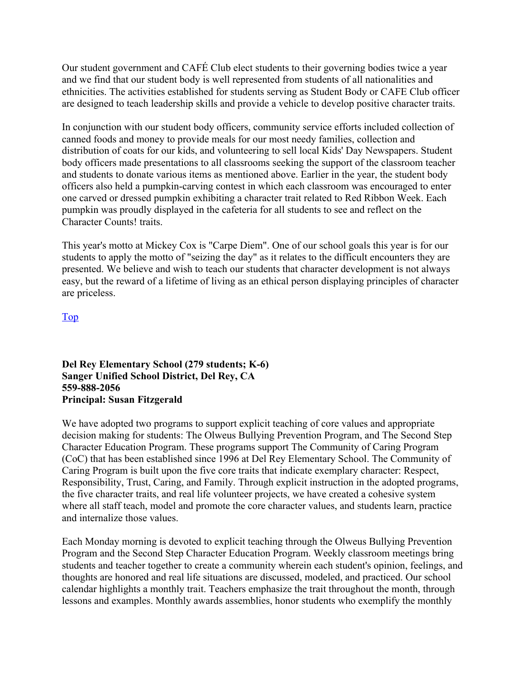Our student government and CAFÉ Club elect students to their governing bodies twice a year and we find that our student body is well represented from students of all nationalities and ethnicities. The activities established for students serving as Student Body or CAFE Club officer are designed to teach leadership skills and provide a vehicle to develop positive character traits.

In conjunction with our student body officers, community service efforts included collection of canned foods and money to provide meals for our most needy families, collection and distribution of coats for our kids, and volunteering to sell local Kids' Day Newspapers. Student body officers made presentations to all classrooms seeking the support of the classroom teacher and students to donate various items as mentioned above. Earlier in the year, the student body officers also held a pumpkin-carving contest in which each classroom was encouraged to enter one carved or dressed pumpkin exhibiting a character trait related to Red Ribbon Week. Each pumpkin was proudly displayed in the cafeteria for all students to see and reflect on the Character Counts! traits.

This year's motto at Mickey Cox is "Carpe Diem". One of our school goals this year is for our students to apply the motto of "seizing the day" as it relates to the difficult encounters they are presented. We believe and wish to teach our students that character development is not always easy, but the reward of a lifetime of living as an ethical person displaying principles of character are priceless.

Top

#### **Del Rey Elementary School (279 students; K-6) Sanger Unified School District, Del Rey, CA 559-888-2056 Principal: Susan Fitzgerald**

We have adopted two programs to support explicit teaching of core values and appropriate decision making for students: The Olweus Bullying Prevention Program, and The Second Step Character Education Program. These programs support The Community of Caring Program (CoC) that has been established since 1996 at Del Rey Elementary School. The Community of Caring Program is built upon the five core traits that indicate exemplary character: Respect, Responsibility, Trust, Caring, and Family. Through explicit instruction in the adopted programs, the five character traits, and real life volunteer projects, we have created a cohesive system where all staff teach, model and promote the core character values, and students learn, practice and internalize those values.

Each Monday morning is devoted to explicit teaching through the Olweus Bullying Prevention Program and the Second Step Character Education Program. Weekly classroom meetings bring students and teacher together to create a community wherein each student's opinion, feelings, and thoughts are honored and real life situations are discussed, modeled, and practiced. Our school calendar highlights a monthly trait. Teachers emphasize the trait throughout the month, through lessons and examples. Monthly awards assemblies, honor students who exemplify the monthly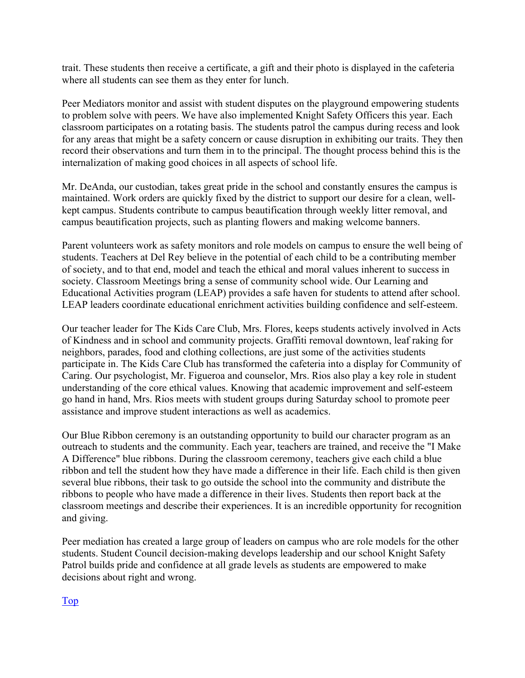trait. These students then receive a certificate, a gift and their photo is displayed in the cafeteria where all students can see them as they enter for lunch.

Peer Mediators monitor and assist with student disputes on the playground empowering students to problem solve with peers. We have also implemented Knight Safety Officers this year. Each classroom participates on a rotating basis. The students patrol the campus during recess and look for any areas that might be a safety concern or cause disruption in exhibiting our traits. They then record their observations and turn them in to the principal. The thought process behind this is the internalization of making good choices in all aspects of school life.

Mr. DeAnda, our custodian, takes great pride in the school and constantly ensures the campus is maintained. Work orders are quickly fixed by the district to support our desire for a clean, wellkept campus. Students contribute to campus beautification through weekly litter removal, and campus beautification projects, such as planting flowers and making welcome banners.

Parent volunteers work as safety monitors and role models on campus to ensure the well being of students. Teachers at Del Rey believe in the potential of each child to be a contributing member of society, and to that end, model and teach the ethical and moral values inherent to success in society. Classroom Meetings bring a sense of community school wide. Our Learning and Educational Activities program (LEAP) provides a safe haven for students to attend after school. LEAP leaders coordinate educational enrichment activities building confidence and self-esteem.

Our teacher leader for The Kids Care Club, Mrs. Flores, keeps students actively involved in Acts of Kindness and in school and community projects. Graffiti removal downtown, leaf raking for neighbors, parades, food and clothing collections, are just some of the activities students participate in. The Kids Care Club has transformed the cafeteria into a display for Community of Caring. Our psychologist, Mr. Figueroa and counselor, Mrs. Rios also play a key role in student understanding of the core ethical values. Knowing that academic improvement and self-esteem go hand in hand, Mrs. Rios meets with student groups during Saturday school to promote peer assistance and improve student interactions as well as academics.

Our Blue Ribbon ceremony is an outstanding opportunity to build our character program as an outreach to students and the community. Each year, teachers are trained, and receive the "I Make A Difference" blue ribbons. During the classroom ceremony, teachers give each child a blue ribbon and tell the student how they have made a difference in their life. Each child is then given several blue ribbons, their task to go outside the school into the community and distribute the ribbons to people who have made a difference in their lives. Students then report back at the classroom meetings and describe their experiences. It is an incredible opportunity for recognition and giving.

Peer mediation has created a large group of leaders on campus who are role models for the other students. Student Council decision-making develops leadership and our school Knight Safety Patrol builds pride and confidence at all grade levels as students are empowered to make decisions about right and wrong.

Top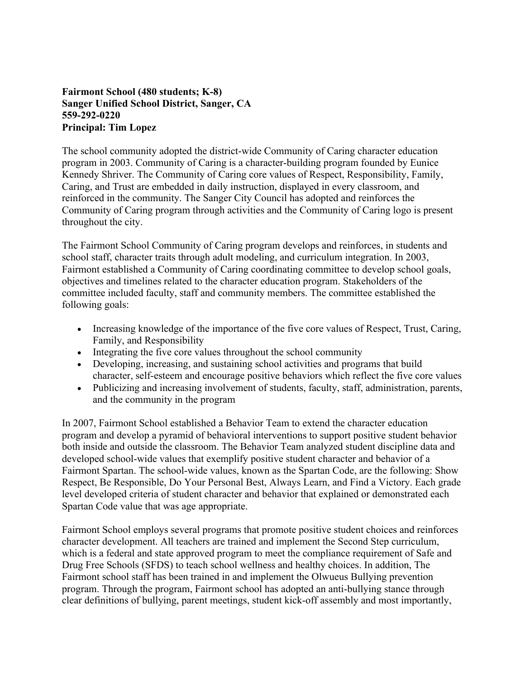#### **Fairmont School (480 students; K-8) Sanger Unified School District, Sanger, CA 559-292-0220 Principal: Tim Lopez**

The school community adopted the district-wide Community of Caring character education program in 2003. Community of Caring is a character-building program founded by Eunice Kennedy Shriver. The Community of Caring core values of Respect, Responsibility, Family, Caring, and Trust are embedded in daily instruction, displayed in every classroom, and reinforced in the community. The Sanger City Council has adopted and reinforces the Community of Caring program through activities and the Community of Caring logo is present throughout the city.

The Fairmont School Community of Caring program develops and reinforces, in students and school staff, character traits through adult modeling, and curriculum integration. In 2003, Fairmont established a Community of Caring coordinating committee to develop school goals, objectives and timelines related to the character education program. Stakeholders of the committee included faculty, staff and community members. The committee established the following goals:

- Increasing knowledge of the importance of the five core values of Respect, Trust, Caring, Family, and Responsibility
- Integrating the five core values throughout the school community
- Developing, increasing, and sustaining school activities and programs that build character, self-esteem and encourage positive behaviors which reflect the five core values
- Publicizing and increasing involvement of students, faculty, staff, administration, parents, and the community in the program

In 2007, Fairmont School established a Behavior Team to extend the character education program and develop a pyramid of behavioral interventions to support positive student behavior both inside and outside the classroom. The Behavior Team analyzed student discipline data and developed school-wide values that exemplify positive student character and behavior of a Fairmont Spartan. The school-wide values, known as the Spartan Code, are the following: Show Respect, Be Responsible, Do Your Personal Best, Always Learn, and Find a Victory. Each grade level developed criteria of student character and behavior that explained or demonstrated each Spartan Code value that was age appropriate.

Fairmont School employs several programs that promote positive student choices and reinforces character development. All teachers are trained and implement the Second Step curriculum, which is a federal and state approved program to meet the compliance requirement of Safe and Drug Free Schools (SFDS) to teach school wellness and healthy choices. In addition, The Fairmont school staff has been trained in and implement the Olwueus Bullying prevention program. Through the program, Fairmont school has adopted an anti-bullying stance through clear definitions of bullying, parent meetings, student kick-off assembly and most importantly,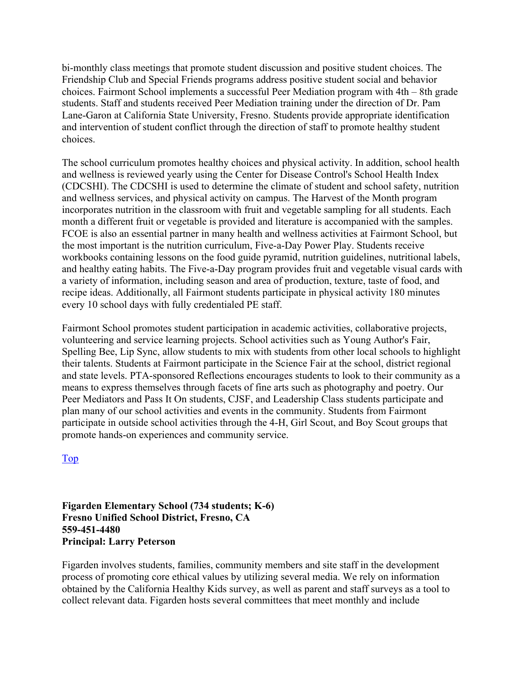bi-monthly class meetings that promote student discussion and positive student choices. The Friendship Club and Special Friends programs address positive student social and behavior choices. Fairmont School implements a successful Peer Mediation program with 4th – 8th grade students. Staff and students received Peer Mediation training under the direction of Dr. Pam Lane-Garon at California State University, Fresno. Students provide appropriate identification and intervention of student conflict through the direction of staff to promote healthy student choices.

The school curriculum promotes healthy choices and physical activity. In addition, school health and wellness is reviewed yearly using the Center for Disease Control's School Health Index (CDCSHI). The CDCSHI is used to determine the climate of student and school safety, nutrition and wellness services, and physical activity on campus. The Harvest of the Month program incorporates nutrition in the classroom with fruit and vegetable sampling for all students. Each month a different fruit or vegetable is provided and literature is accompanied with the samples. FCOE is also an essential partner in many health and wellness activities at Fairmont School, but the most important is the nutrition curriculum, Five-a-Day Power Play. Students receive workbooks containing lessons on the food guide pyramid, nutrition guidelines, nutritional labels, and healthy eating habits. The Five-a-Day program provides fruit and vegetable visual cards with a variety of information, including season and area of production, texture, taste of food, and recipe ideas. Additionally, all Fairmont students participate in physical activity 180 minutes every 10 school days with fully credentialed PE staff.

Fairmont School promotes student participation in academic activities, collaborative projects, volunteering and service learning projects. School activities such as Young Author's Fair, Spelling Bee, Lip Sync, allow students to mix with students from other local schools to highlight their talents. Students at Fairmont participate in the Science Fair at the school, district regional and state levels. PTA-sponsored Reflections encourages students to look to their community as a means to express themselves through facets of fine arts such as photography and poetry. Our Peer Mediators and Pass It On students, CJSF, and Leadership Class students participate and plan many of our school activities and events in the community. Students from Fairmont participate in outside school activities through the 4-H, Girl Scout, and Boy Scout groups that promote hands-on experiences and community service.

Top

**Figarden Elementary School (734 students; K-6) Fresno Unified School District, Fresno, CA 559-451-4480 Principal: Larry Peterson** 

Figarden involves students, families, community members and site staff in the development process of promoting core ethical values by utilizing several media. We rely on information obtained by the California Healthy Kids survey, as well as parent and staff surveys as a tool to collect relevant data. Figarden hosts several committees that meet monthly and include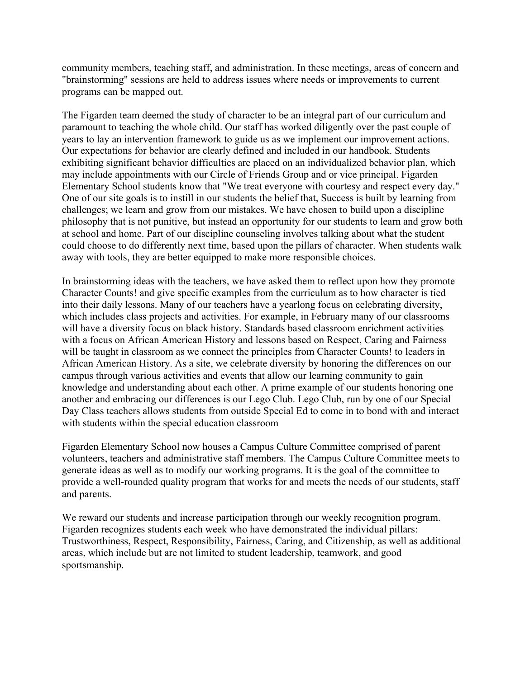community members, teaching staff, and administration. In these meetings, areas of concern and "brainstorming" sessions are held to address issues where needs or improvements to current programs can be mapped out.

The Figarden team deemed the study of character to be an integral part of our curriculum and paramount to teaching the whole child. Our staff has worked diligently over the past couple of years to lay an intervention framework to guide us as we implement our improvement actions. Our expectations for behavior are clearly defined and included in our handbook. Students exhibiting significant behavior difficulties are placed on an individualized behavior plan, which may include appointments with our Circle of Friends Group and or vice principal. Figarden Elementary School students know that "We treat everyone with courtesy and respect every day." One of our site goals is to instill in our students the belief that, Success is built by learning from challenges; we learn and grow from our mistakes. We have chosen to build upon a discipline philosophy that is not punitive, but instead an opportunity for our students to learn and grow both at school and home. Part of our discipline counseling involves talking about what the student could choose to do differently next time, based upon the pillars of character. When students walk away with tools, they are better equipped to make more responsible choices.

In brainstorming ideas with the teachers, we have asked them to reflect upon how they promote Character Counts! and give specific examples from the curriculum as to how character is tied into their daily lessons. Many of our teachers have a yearlong focus on celebrating diversity, which includes class projects and activities. For example, in February many of our classrooms will have a diversity focus on black history. Standards based classroom enrichment activities with a focus on African American History and lessons based on Respect, Caring and Fairness will be taught in classroom as we connect the principles from Character Counts! to leaders in African American History. As a site, we celebrate diversity by honoring the differences on our campus through various activities and events that allow our learning community to gain knowledge and understanding about each other. A prime example of our students honoring one another and embracing our differences is our Lego Club. Lego Club, run by one of our Special Day Class teachers allows students from outside Special Ed to come in to bond with and interact with students within the special education classroom

Figarden Elementary School now houses a Campus Culture Committee comprised of parent volunteers, teachers and administrative staff members. The Campus Culture Committee meets to generate ideas as well as to modify our working programs. It is the goal of the committee to provide a well-rounded quality program that works for and meets the needs of our students, staff and parents.

We reward our students and increase participation through our weekly recognition program. Figarden recognizes students each week who have demonstrated the individual pillars: Trustworthiness, Respect, Responsibility, Fairness, Caring, and Citizenship, as well as additional areas, which include but are not limited to student leadership, teamwork, and good sportsmanship.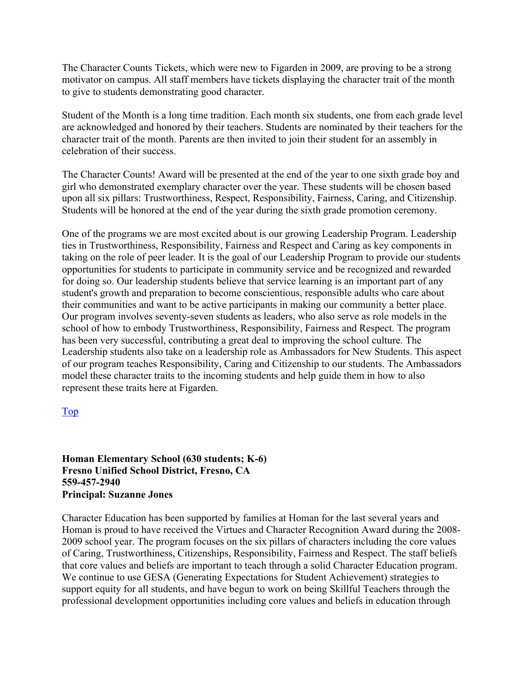The Character Counts Tickets, which were new to Figarden in 2009, are proving to be a strong motivator on campus. All staff members have tickets displaying the character trait of the month to give to students demonstrating good character.

Student of the Month is a long time tradition. Each month six students, one from each grade level are acknowledged and honored by their teachers. Students are nominated by their teachers for the character trait of the month. Parents are then invited to join their student for an assembly in celebration of their success.

The Character Counts! Award will be presented at the end of the year to one sixth grade boy and girl who demonstrated exemplary character over the year. These students will be chosen based upon all six pillars: Trustworthiness, Respect, Responsibility, Fairness, Caring, and Citizenship. Students will be honored at the end of the year during the sixth grade promotion ceremony.

One of the programs we are most excited about is our growing Leadership Program. Leadership ties in Trustworthiness, Responsibility, Fairness and Respect and Caring as key components in taking on the role of peer leader. It is the goal of our Leadership Program to provide our students opportunities for students to participate in community service and be recognized and rewarded for doing so. Our leadership students believe that service learning is an important part of any student's growth and preparation to become conscientious, responsible adults who care about their communities and want to be active participants in making our community a better place. Our program involves seventy-seven students as leaders, who also serve as role models in the school of how to embody Trustworthiness, Responsibility, Fairness and Respect. The program has been very successful, contributing a great deal to improving the school culture. The Leadership students also take on a leadership role as Ambassadors for New Students. This aspect of our program teaches Responsibility, Caring and Citizenship to our students. The Ambassadors model these character traits to the incoming students and help guide them in how to also represent these traits here at Figarden.

#### Top

**Homan Elementary School (630 students; K-6) Fresno Unified School District, Fresno, CA 559-457-2940 Principal: Suzanne Jones** 

Character Education has been supported by families at Homan for the last several years and Homan is proud to have received the Virtues and Character Recognition Award during the 2008- 2009 school year. The program focuses on the six pillars of characters including the core values of Caring, Trustworthiness, Citizenships, Responsibility, Fairness and Respect. The staff beliefs that core values and beliefs are important to teach through a solid Character Education program. We continue to use GESA (Generating Expectations for Student Achievement) strategies to support equity for all students, and have begun to work on being Skillful Teachers through the professional development opportunities including core values and beliefs in education through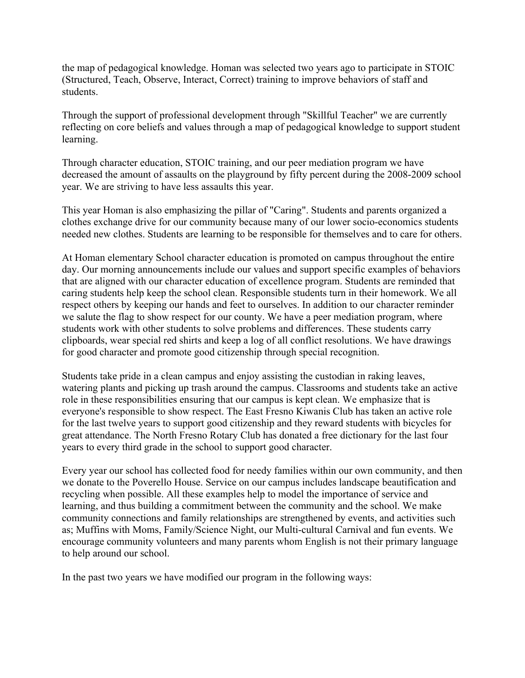the map of pedagogical knowledge. Homan was selected two years ago to participate in STOIC (Structured, Teach, Observe, Interact, Correct) training to improve behaviors of staff and students.

Through the support of professional development through "Skillful Teacher" we are currently reflecting on core beliefs and values through a map of pedagogical knowledge to support student learning.

Through character education, STOIC training, and our peer mediation program we have decreased the amount of assaults on the playground by fifty percent during the 2008-2009 school year. We are striving to have less assaults this year.

This year Homan is also emphasizing the pillar of "Caring". Students and parents organized a clothes exchange drive for our community because many of our lower socio-economics students needed new clothes. Students are learning to be responsible for themselves and to care for others.

At Homan elementary School character education is promoted on campus throughout the entire day. Our morning announcements include our values and support specific examples of behaviors that are aligned with our character education of excellence program. Students are reminded that caring students help keep the school clean. Responsible students turn in their homework. We all respect others by keeping our hands and feet to ourselves. In addition to our character reminder we salute the flag to show respect for our county. We have a peer mediation program, where students work with other students to solve problems and differences. These students carry clipboards, wear special red shirts and keep a log of all conflict resolutions. We have drawings for good character and promote good citizenship through special recognition.

Students take pride in a clean campus and enjoy assisting the custodian in raking leaves, watering plants and picking up trash around the campus. Classrooms and students take an active role in these responsibilities ensuring that our campus is kept clean. We emphasize that is everyone's responsible to show respect. The East Fresno Kiwanis Club has taken an active role for the last twelve years to support good citizenship and they reward students with bicycles for great attendance. The North Fresno Rotary Club has donated a free dictionary for the last four years to every third grade in the school to support good character.

Every year our school has collected food for needy families within our own community, and then we donate to the Poverello House. Service on our campus includes landscape beautification and recycling when possible. All these examples help to model the importance of service and learning, and thus building a commitment between the community and the school. We make community connections and family relationships are strengthened by events, and activities such as; Muffins with Moms, Family/Science Night, our Multi-cultural Carnival and fun events. We encourage community volunteers and many parents whom English is not their primary language to help around our school.

In the past two years we have modified our program in the following ways: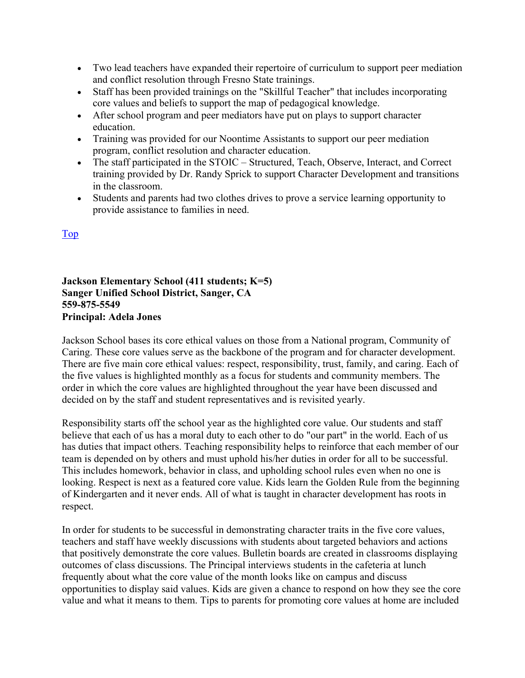- Two lead teachers have expanded their repertoire of curriculum to support peer mediation and conflict resolution through Fresno State trainings.
- Staff has been provided trainings on the "Skillful Teacher" that includes incorporating core values and beliefs to support the map of pedagogical knowledge.
- After school program and peer mediators have put on plays to support character education.
- Training was provided for our Noontime Assistants to support our peer mediation program, conflict resolution and character education.
- The staff participated in the STOIC Structured, Teach, Observe, Interact, and Correct training provided by Dr. Randy Sprick to support Character Development and transitions in the classroom.
- Students and parents had two clothes drives to prove a service learning opportunity to provide assistance to families in need.

#### Top

**Jackson Elementary School (411 students; K=5) Sanger Unified School District, Sanger, CA 559-875-5549 Principal: Adela Jones** 

Jackson School bases its core ethical values on those from a National program, Community of Caring. These core values serve as the backbone of the program and for character development. There are five main core ethical values: respect, responsibility, trust, family, and caring. Each of the five values is highlighted monthly as a focus for students and community members. The order in which the core values are highlighted throughout the year have been discussed and decided on by the staff and student representatives and is revisited yearly.

Responsibility starts off the school year as the highlighted core value. Our students and staff believe that each of us has a moral duty to each other to do "our part" in the world. Each of us has duties that impact others. Teaching responsibility helps to reinforce that each member of our team is depended on by others and must uphold his/her duties in order for all to be successful. This includes homework, behavior in class, and upholding school rules even when no one is looking. Respect is next as a featured core value. Kids learn the Golden Rule from the beginning of Kindergarten and it never ends. All of what is taught in character development has roots in respect.

In order for students to be successful in demonstrating character traits in the five core values, teachers and staff have weekly discussions with students about targeted behaviors and actions that positively demonstrate the core values. Bulletin boards are created in classrooms displaying outcomes of class discussions. The Principal interviews students in the cafeteria at lunch frequently about what the core value of the month looks like on campus and discuss opportunities to display said values. Kids are given a chance to respond on how they see the core value and what it means to them. Tips to parents for promoting core values at home are included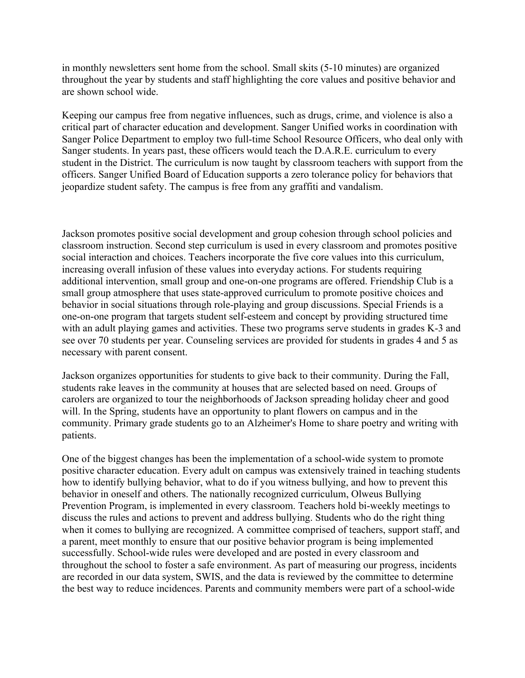in monthly newsletters sent home from the school. Small skits (5-10 minutes) are organized throughout the year by students and staff highlighting the core values and positive behavior and are shown school wide.

Keeping our campus free from negative influences, such as drugs, crime, and violence is also a critical part of character education and development. Sanger Unified works in coordination with Sanger Police Department to employ two full-time School Resource Officers, who deal only with Sanger students. In years past, these officers would teach the D.A.R.E. curriculum to every student in the District. The curriculum is now taught by classroom teachers with support from the officers. Sanger Unified Board of Education supports a zero tolerance policy for behaviors that jeopardize student safety. The campus is free from any graffiti and vandalism.

Jackson promotes positive social development and group cohesion through school policies and classroom instruction. Second step curriculum is used in every classroom and promotes positive social interaction and choices. Teachers incorporate the five core values into this curriculum, increasing overall infusion of these values into everyday actions. For students requiring additional intervention, small group and one-on-one programs are offered. Friendship Club is a small group atmosphere that uses state-approved curriculum to promote positive choices and behavior in social situations through role-playing and group discussions. Special Friends is a one-on-one program that targets student self-esteem and concept by providing structured time with an adult playing games and activities. These two programs serve students in grades K-3 and see over 70 students per year. Counseling services are provided for students in grades 4 and 5 as necessary with parent consent.

Jackson organizes opportunities for students to give back to their community. During the Fall, students rake leaves in the community at houses that are selected based on need. Groups of carolers are organized to tour the neighborhoods of Jackson spreading holiday cheer and good will. In the Spring, students have an opportunity to plant flowers on campus and in the community. Primary grade students go to an Alzheimer's Home to share poetry and writing with patients.

One of the biggest changes has been the implementation of a school-wide system to promote positive character education. Every adult on campus was extensively trained in teaching students how to identify bullying behavior, what to do if you witness bullying, and how to prevent this behavior in oneself and others. The nationally recognized curriculum, Olweus Bullying Prevention Program, is implemented in every classroom. Teachers hold bi-weekly meetings to discuss the rules and actions to prevent and address bullying. Students who do the right thing when it comes to bullying are recognized. A committee comprised of teachers, support staff, and a parent, meet monthly to ensure that our positive behavior program is being implemented successfully. School-wide rules were developed and are posted in every classroom and throughout the school to foster a safe environment. As part of measuring our progress, incidents are recorded in our data system, SWIS, and the data is reviewed by the committee to determine the best way to reduce incidences. Parents and community members were part of a school-wide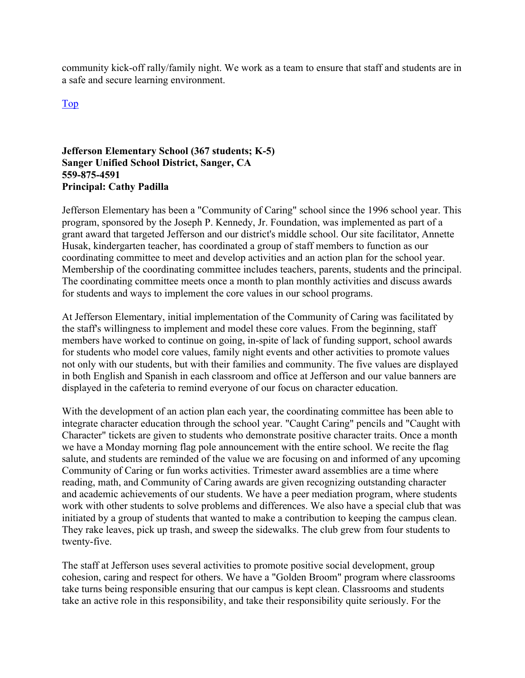community kick-off rally/family night. We work as a team to ensure that staff and students are in a safe and secure learning environment.

Top

#### **Jefferson Elementary School (367 students; K-5) Sanger Unified School District, Sanger, CA 559-875-4591 Principal: Cathy Padilla**

Jefferson Elementary has been a "Community of Caring" school since the 1996 school year. This program, sponsored by the Joseph P. Kennedy, Jr. Foundation, was implemented as part of a grant award that targeted Jefferson and our district's middle school. Our site facilitator, Annette Husak, kindergarten teacher, has coordinated a group of staff members to function as our coordinating committee to meet and develop activities and an action plan for the school year. Membership of the coordinating committee includes teachers, parents, students and the principal. The coordinating committee meets once a month to plan monthly activities and discuss awards for students and ways to implement the core values in our school programs.

At Jefferson Elementary, initial implementation of the Community of Caring was facilitated by the staff's willingness to implement and model these core values. From the beginning, staff members have worked to continue on going, in-spite of lack of funding support, school awards for students who model core values, family night events and other activities to promote values not only with our students, but with their families and community. The five values are displayed in both English and Spanish in each classroom and office at Jefferson and our value banners are displayed in the cafeteria to remind everyone of our focus on character education.

With the development of an action plan each year, the coordinating committee has been able to integrate character education through the school year. "Caught Caring" pencils and "Caught with Character" tickets are given to students who demonstrate positive character traits. Once a month we have a Monday morning flag pole announcement with the entire school. We recite the flag salute, and students are reminded of the value we are focusing on and informed of any upcoming Community of Caring or fun works activities. Trimester award assemblies are a time where reading, math, and Community of Caring awards are given recognizing outstanding character and academic achievements of our students. We have a peer mediation program, where students work with other students to solve problems and differences. We also have a special club that was initiated by a group of students that wanted to make a contribution to keeping the campus clean. They rake leaves, pick up trash, and sweep the sidewalks. The club grew from four students to twenty-five.

The staff at Jefferson uses several activities to promote positive social development, group cohesion, caring and respect for others. We have a "Golden Broom" program where classrooms take turns being responsible ensuring that our campus is kept clean. Classrooms and students take an active role in this responsibility, and take their responsibility quite seriously. For the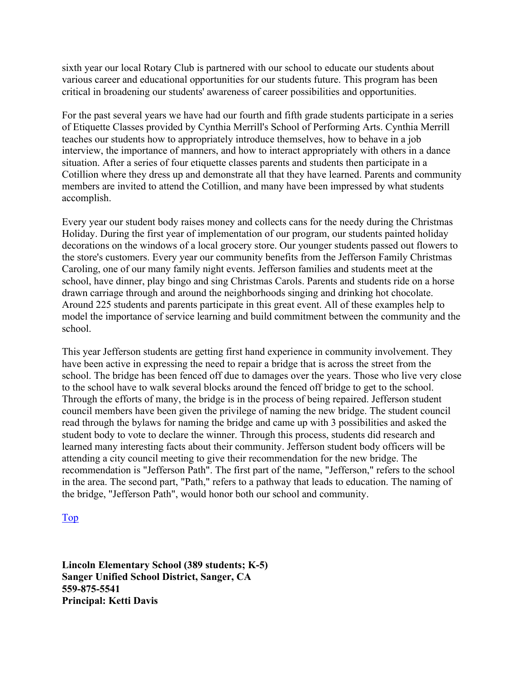sixth year our local Rotary Club is partnered with our school to educate our students about various career and educational opportunities for our students future. This program has been critical in broadening our students' awareness of career possibilities and opportunities.

For the past several years we have had our fourth and fifth grade students participate in a series of Etiquette Classes provided by Cynthia Merrill's School of Performing Arts. Cynthia Merrill teaches our students how to appropriately introduce themselves, how to behave in a job interview, the importance of manners, and how to interact appropriately with others in a dance situation. After a series of four etiquette classes parents and students then participate in a Cotillion where they dress up and demonstrate all that they have learned. Parents and community members are invited to attend the Cotillion, and many have been impressed by what students accomplish.

Every year our student body raises money and collects cans for the needy during the Christmas Holiday. During the first year of implementation of our program, our students painted holiday decorations on the windows of a local grocery store. Our younger students passed out flowers to the store's customers. Every year our community benefits from the Jefferson Family Christmas Caroling, one of our many family night events. Jefferson families and students meet at the school, have dinner, play bingo and sing Christmas Carols. Parents and students ride on a horse drawn carriage through and around the neighborhoods singing and drinking hot chocolate. Around 225 students and parents participate in this great event. All of these examples help to model the importance of service learning and build commitment between the community and the school.

This year Jefferson students are getting first hand experience in community involvement. They have been active in expressing the need to repair a bridge that is across the street from the school. The bridge has been fenced off due to damages over the years. Those who live very close to the school have to walk several blocks around the fenced off bridge to get to the school. Through the efforts of many, the bridge is in the process of being repaired. Jefferson student council members have been given the privilege of naming the new bridge. The student council read through the bylaws for naming the bridge and came up with 3 possibilities and asked the student body to vote to declare the winner. Through this process, students did research and learned many interesting facts about their community. Jefferson student body officers will be attending a city council meeting to give their recommendation for the new bridge. The recommendation is "Jefferson Path". The first part of the name, "Jefferson," refers to the school in the area. The second part, "Path," refers to a pathway that leads to education. The naming of the bridge, "Jefferson Path", would honor both our school and community.

#### Top

**Lincoln Elementary School (389 students; K-5) Sanger Unified School District, Sanger, CA 559-875-5541 Principal: Ketti Davis**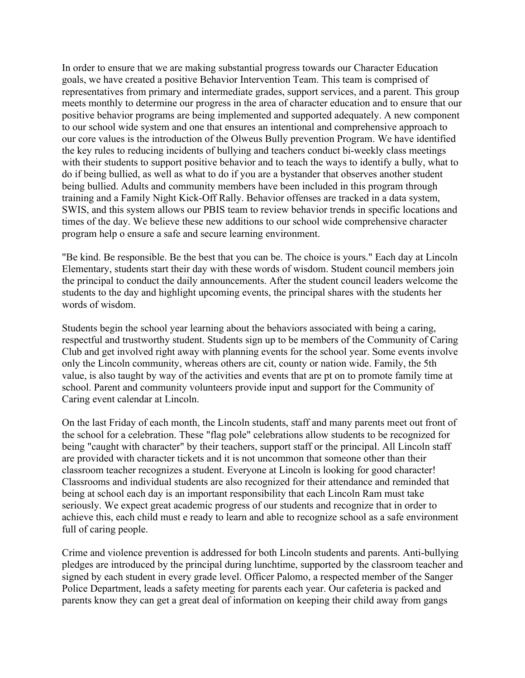In order to ensure that we are making substantial progress towards our Character Education goals, we have created a positive Behavior Intervention Team. This team is comprised of representatives from primary and intermediate grades, support services, and a parent. This group meets monthly to determine our progress in the area of character education and to ensure that our positive behavior programs are being implemented and supported adequately. A new component to our school wide system and one that ensures an intentional and comprehensive approach to our core values is the introduction of the Olweus Bully prevention Program. We have identified the key rules to reducing incidents of bullying and teachers conduct bi-weekly class meetings with their students to support positive behavior and to teach the ways to identify a bully, what to do if being bullied, as well as what to do if you are a bystander that observes another student being bullied. Adults and community members have been included in this program through training and a Family Night Kick-Off Rally. Behavior offenses are tracked in a data system, SWIS, and this system allows our PBIS team to review behavior trends in specific locations and times of the day. We believe these new additions to our school wide comprehensive character program help o ensure a safe and secure learning environment.

"Be kind. Be responsible. Be the best that you can be. The choice is yours." Each day at Lincoln Elementary, students start their day with these words of wisdom. Student council members join the principal to conduct the daily announcements. After the student council leaders welcome the students to the day and highlight upcoming events, the principal shares with the students her words of wisdom.

Students begin the school year learning about the behaviors associated with being a caring, respectful and trustworthy student. Students sign up to be members of the Community of Caring Club and get involved right away with planning events for the school year. Some events involve only the Lincoln community, whereas others are cit, county or nation wide. Family, the 5th value, is also taught by way of the activities and events that are pt on to promote family time at school. Parent and community volunteers provide input and support for the Community of Caring event calendar at Lincoln.

On the last Friday of each month, the Lincoln students, staff and many parents meet out front of the school for a celebration. These "flag pole" celebrations allow students to be recognized for being "caught with character" by their teachers, support staff or the principal. All Lincoln staff are provided with character tickets and it is not uncommon that someone other than their classroom teacher recognizes a student. Everyone at Lincoln is looking for good character! Classrooms and individual students are also recognized for their attendance and reminded that being at school each day is an important responsibility that each Lincoln Ram must take seriously. We expect great academic progress of our students and recognize that in order to achieve this, each child must e ready to learn and able to recognize school as a safe environment full of caring people.

Crime and violence prevention is addressed for both Lincoln students and parents. Anti-bullying pledges are introduced by the principal during lunchtime, supported by the classroom teacher and signed by each student in every grade level. Officer Palomo, a respected member of the Sanger Police Department, leads a safety meeting for parents each year. Our cafeteria is packed and parents know they can get a great deal of information on keeping their child away from gangs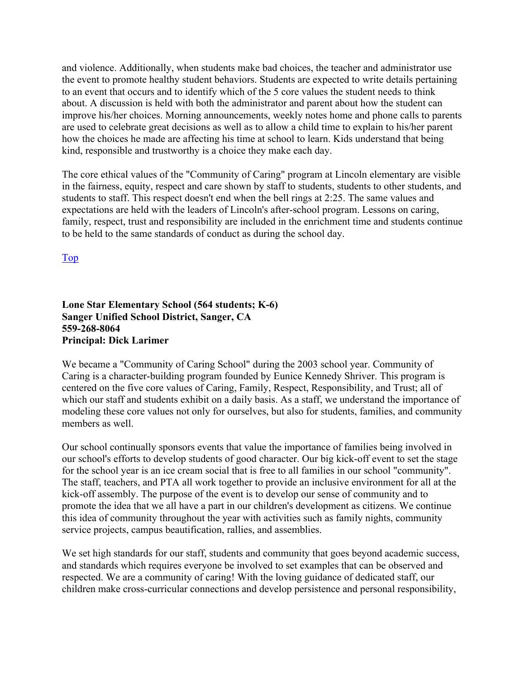and violence. Additionally, when students make bad choices, the teacher and administrator use the event to promote healthy student behaviors. Students are expected to write details pertaining to an event that occurs and to identify which of the 5 core values the student needs to think about. A discussion is held with both the administrator and parent about how the student can improve his/her choices. Morning announcements, weekly notes home and phone calls to parents are used to celebrate great decisions as well as to allow a child time to explain to his/her parent how the choices he made are affecting his time at school to learn. Kids understand that being kind, responsible and trustworthy is a choice they make each day.

The core ethical values of the "Community of Caring" program at Lincoln elementary are visible in the fairness, equity, respect and care shown by staff to students, students to other students, and students to staff. This respect doesn't end when the bell rings at 2:25. The same values and expectations are held with the leaders of Lincoln's after-school program. Lessons on caring, family, respect, trust and responsibility are included in the enrichment time and students continue to be held to the same standards of conduct as during the school day.

Top

#### **Lone Star Elementary School (564 students; K-6) Sanger Unified School District, Sanger, CA 559-268-8064 Principal: Dick Larimer**

We became a "Community of Caring School" during the 2003 school year. Community of Caring is a character-building program founded by Eunice Kennedy Shriver. This program is centered on the five core values of Caring, Family, Respect, Responsibility, and Trust; all of which our staff and students exhibit on a daily basis. As a staff, we understand the importance of modeling these core values not only for ourselves, but also for students, families, and community members as well.

Our school continually sponsors events that value the importance of families being involved in our school's efforts to develop students of good character. Our big kick-off event to set the stage for the school year is an ice cream social that is free to all families in our school "community". The staff, teachers, and PTA all work together to provide an inclusive environment for all at the kick-off assembly. The purpose of the event is to develop our sense of community and to promote the idea that we all have a part in our children's development as citizens. We continue this idea of community throughout the year with activities such as family nights, community service projects, campus beautification, rallies, and assemblies.

We set high standards for our staff, students and community that goes beyond academic success, and standards which requires everyone be involved to set examples that can be observed and respected. We are a community of caring! With the loving guidance of dedicated staff, our children make cross-curricular connections and develop persistence and personal responsibility,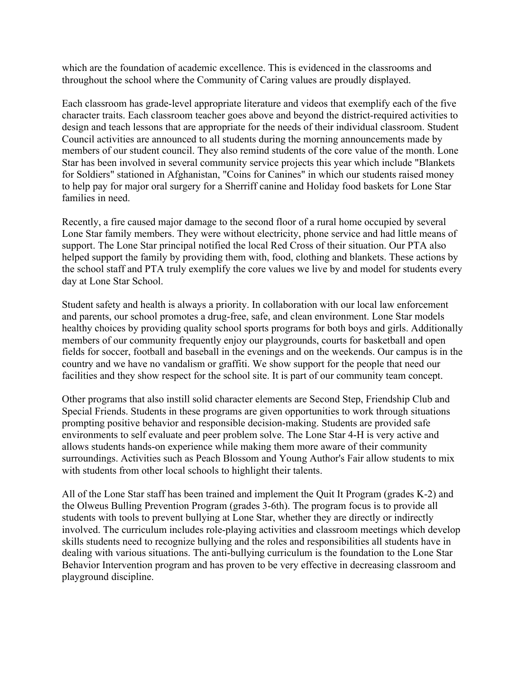which are the foundation of academic excellence. This is evidenced in the classrooms and throughout the school where the Community of Caring values are proudly displayed.

Each classroom has grade-level appropriate literature and videos that exemplify each of the five character traits. Each classroom teacher goes above and beyond the district-required activities to design and teach lessons that are appropriate for the needs of their individual classroom. Student Council activities are announced to all students during the morning announcements made by members of our student council. They also remind students of the core value of the month. Lone Star has been involved in several community service projects this year which include "Blankets for Soldiers" stationed in Afghanistan, "Coins for Canines" in which our students raised money to help pay for major oral surgery for a Sherriff canine and Holiday food baskets for Lone Star families in need.

Recently, a fire caused major damage to the second floor of a rural home occupied by several Lone Star family members. They were without electricity, phone service and had little means of support. The Lone Star principal notified the local Red Cross of their situation. Our PTA also helped support the family by providing them with, food, clothing and blankets. These actions by the school staff and PTA truly exemplify the core values we live by and model for students every day at Lone Star School.

Student safety and health is always a priority. In collaboration with our local law enforcement and parents, our school promotes a drug-free, safe, and clean environment. Lone Star models healthy choices by providing quality school sports programs for both boys and girls. Additionally members of our community frequently enjoy our playgrounds, courts for basketball and open fields for soccer, football and baseball in the evenings and on the weekends. Our campus is in the country and we have no vandalism or graffiti. We show support for the people that need our facilities and they show respect for the school site. It is part of our community team concept.

Other programs that also instill solid character elements are Second Step, Friendship Club and Special Friends. Students in these programs are given opportunities to work through situations prompting positive behavior and responsible decision-making. Students are provided safe environments to self evaluate and peer problem solve. The Lone Star 4-H is very active and allows students hands-on experience while making them more aware of their community surroundings. Activities such as Peach Blossom and Young Author's Fair allow students to mix with students from other local schools to highlight their talents.

All of the Lone Star staff has been trained and implement the Quit It Program (grades K-2) and the Olweus Bulling Prevention Program (grades 3-6th). The program focus is to provide all students with tools to prevent bullying at Lone Star, whether they are directly or indirectly involved. The curriculum includes role-playing activities and classroom meetings which develop skills students need to recognize bullying and the roles and responsibilities all students have in dealing with various situations. The anti-bullying curriculum is the foundation to the Lone Star Behavior Intervention program and has proven to be very effective in decreasing classroom and playground discipline.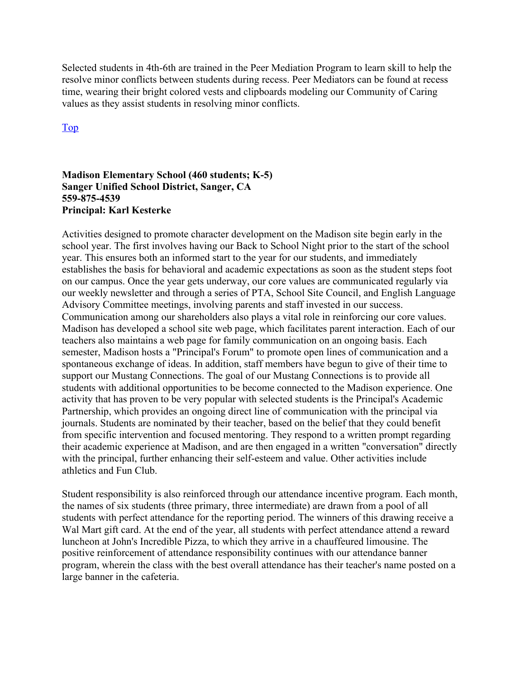Selected students in 4th-6th are trained in the Peer Mediation Program to learn skill to help the resolve minor conflicts between students during recess. Peer Mediators can be found at recess time, wearing their bright colored vests and clipboards modeling our Community of Caring values as they assist students in resolving minor conflicts.

Top

#### **Madison Elementary School (460 students; K-5) Sanger Unified School District, Sanger, CA 559-875-4539 Principal: Karl Kesterke**

Activities designed to promote character development on the Madison site begin early in the school year. The first involves having our Back to School Night prior to the start of the school year. This ensures both an informed start to the year for our students, and immediately establishes the basis for behavioral and academic expectations as soon as the student steps foot on our campus. Once the year gets underway, our core values are communicated regularly via our weekly newsletter and through a series of PTA, School Site Council, and English Language Advisory Committee meetings, involving parents and staff invested in our success. Communication among our shareholders also plays a vital role in reinforcing our core values. Madison has developed a school site web page, which facilitates parent interaction. Each of our teachers also maintains a web page for family communication on an ongoing basis. Each semester, Madison hosts a "Principal's Forum" to promote open lines of communication and a spontaneous exchange of ideas. In addition, staff members have begun to give of their time to support our Mustang Connections. The goal of our Mustang Connections is to provide all students with additional opportunities to be become connected to the Madison experience. One activity that has proven to be very popular with selected students is the Principal's Academic Partnership, which provides an ongoing direct line of communication with the principal via journals. Students are nominated by their teacher, based on the belief that they could benefit from specific intervention and focused mentoring. They respond to a written prompt regarding their academic experience at Madison, and are then engaged in a written "conversation" directly with the principal, further enhancing their self-esteem and value. Other activities include athletics and Fun Club.

Student responsibility is also reinforced through our attendance incentive program. Each month, the names of six students (three primary, three intermediate) are drawn from a pool of all students with perfect attendance for the reporting period. The winners of this drawing receive a Wal Mart gift card. At the end of the year, all students with perfect attendance attend a reward luncheon at John's Incredible Pizza, to which they arrive in a chauffeured limousine. The positive reinforcement of attendance responsibility continues with our attendance banner program, wherein the class with the best overall attendance has their teacher's name posted on a large banner in the cafeteria.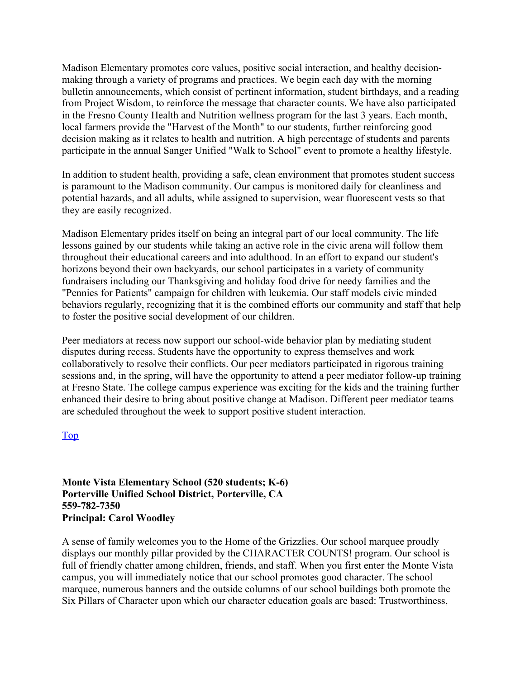Madison Elementary promotes core values, positive social interaction, and healthy decisionmaking through a variety of programs and practices. We begin each day with the morning bulletin announcements, which consist of pertinent information, student birthdays, and a reading from Project Wisdom, to reinforce the message that character counts. We have also participated in the Fresno County Health and Nutrition wellness program for the last 3 years. Each month, local farmers provide the "Harvest of the Month" to our students, further reinforcing good decision making as it relates to health and nutrition. A high percentage of students and parents participate in the annual Sanger Unified "Walk to School" event to promote a healthy lifestyle.

In addition to student health, providing a safe, clean environment that promotes student success is paramount to the Madison community. Our campus is monitored daily for cleanliness and potential hazards, and all adults, while assigned to supervision, wear fluorescent vests so that they are easily recognized.

Madison Elementary prides itself on being an integral part of our local community. The life lessons gained by our students while taking an active role in the civic arena will follow them throughout their educational careers and into adulthood. In an effort to expand our student's horizons beyond their own backyards, our school participates in a variety of community fundraisers including our Thanksgiving and holiday food drive for needy families and the "Pennies for Patients" campaign for children with leukemia. Our staff models civic minded behaviors regularly, recognizing that it is the combined efforts our community and staff that help to foster the positive social development of our children.

Peer mediators at recess now support our school-wide behavior plan by mediating student disputes during recess. Students have the opportunity to express themselves and work collaboratively to resolve their conflicts. Our peer mediators participated in rigorous training sessions and, in the spring, will have the opportunity to attend a peer mediator follow-up training at Fresno State. The college campus experience was exciting for the kids and the training further enhanced their desire to bring about positive change at Madison. Different peer mediator teams are scheduled throughout the week to support positive student interaction.

#### Top

**Monte Vista Elementary School (520 students; K-6) Porterville Unified School District, Porterville, CA 559-782-7350 Principal: Carol Woodley** 

A sense of family welcomes you to the Home of the Grizzlies. Our school marquee proudly displays our monthly pillar provided by the CHARACTER COUNTS! program. Our school is full of friendly chatter among children, friends, and staff. When you first enter the Monte Vista campus, you will immediately notice that our school promotes good character. The school marquee, numerous banners and the outside columns of our school buildings both promote the Six Pillars of Character upon which our character education goals are based: Trustworthiness,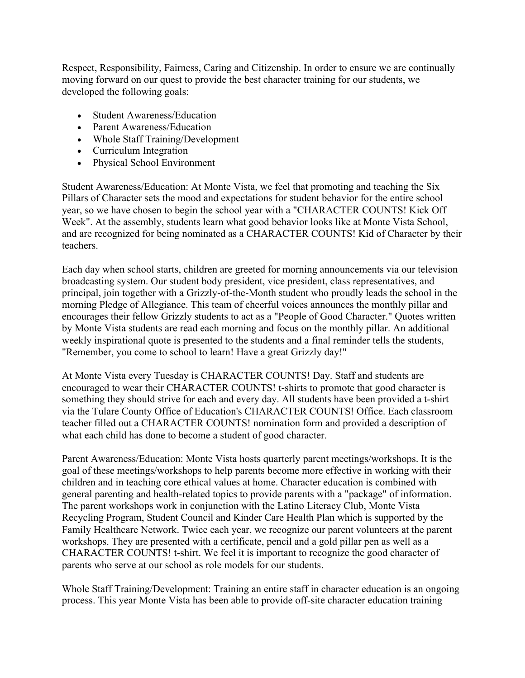Respect, Responsibility, Fairness, Caring and Citizenship. In order to ensure we are continually moving forward on our quest to provide the best character training for our students, we developed the following goals:

- Student Awareness/Education
- Parent Awareness/Education
- Whole Staff Training/Development
- Curriculum Integration
- Physical School Environment

Student Awareness/Education: At Monte Vista, we feel that promoting and teaching the Six Pillars of Character sets the mood and expectations for student behavior for the entire school year, so we have chosen to begin the school year with a "CHARACTER COUNTS! Kick Off Week". At the assembly, students learn what good behavior looks like at Monte Vista School, and are recognized for being nominated as a CHARACTER COUNTS! Kid of Character by their teachers.

Each day when school starts, children are greeted for morning announcements via our television broadcasting system. Our student body president, vice president, class representatives, and principal, join together with a Grizzly-of-the-Month student who proudly leads the school in the morning Pledge of Allegiance. This team of cheerful voices announces the monthly pillar and encourages their fellow Grizzly students to act as a "People of Good Character." Quotes written by Monte Vista students are read each morning and focus on the monthly pillar. An additional weekly inspirational quote is presented to the students and a final reminder tells the students, "Remember, you come to school to learn! Have a great Grizzly day!"

At Monte Vista every Tuesday is CHARACTER COUNTS! Day. Staff and students are encouraged to wear their CHARACTER COUNTS! t-shirts to promote that good character is something they should strive for each and every day. All students have been provided a t-shirt via the Tulare County Office of Education's CHARACTER COUNTS! Office. Each classroom teacher filled out a CHARACTER COUNTS! nomination form and provided a description of what each child has done to become a student of good character.

Parent Awareness/Education: Monte Vista hosts quarterly parent meetings/workshops. It is the goal of these meetings/workshops to help parents become more effective in working with their children and in teaching core ethical values at home. Character education is combined with general parenting and health-related topics to provide parents with a "package" of information. The parent workshops work in conjunction with the Latino Literacy Club, Monte Vista Recycling Program, Student Council and Kinder Care Health Plan which is supported by the Family Healthcare Network. Twice each year, we recognize our parent volunteers at the parent workshops. They are presented with a certificate, pencil and a gold pillar pen as well as a CHARACTER COUNTS! t-shirt. We feel it is important to recognize the good character of parents who serve at our school as role models for our students.

Whole Staff Training/Development: Training an entire staff in character education is an ongoing process. This year Monte Vista has been able to provide off-site character education training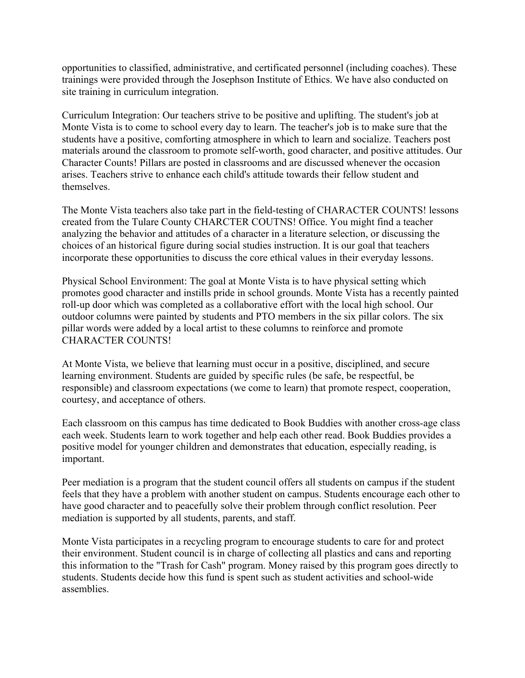opportunities to classified, administrative, and certificated personnel (including coaches). These trainings were provided through the Josephson Institute of Ethics. We have also conducted on site training in curriculum integration.

Curriculum Integration: Our teachers strive to be positive and uplifting. The student's job at Monte Vista is to come to school every day to learn. The teacher's job is to make sure that the students have a positive, comforting atmosphere in which to learn and socialize. Teachers post materials around the classroom to promote self-worth, good character, and positive attitudes. Our Character Counts! Pillars are posted in classrooms and are discussed whenever the occasion arises. Teachers strive to enhance each child's attitude towards their fellow student and themselves.

The Monte Vista teachers also take part in the field-testing of CHARACTER COUNTS! lessons created from the Tulare County CHARCTER COUTNS! Office. You might find a teacher analyzing the behavior and attitudes of a character in a literature selection, or discussing the choices of an historical figure during social studies instruction. It is our goal that teachers incorporate these opportunities to discuss the core ethical values in their everyday lessons.

Physical School Environment: The goal at Monte Vista is to have physical setting which promotes good character and instills pride in school grounds. Monte Vista has a recently painted roll-up door which was completed as a collaborative effort with the local high school. Our outdoor columns were painted by students and PTO members in the six pillar colors. The six pillar words were added by a local artist to these columns to reinforce and promote CHARACTER COUNTS!

At Monte Vista, we believe that learning must occur in a positive, disciplined, and secure learning environment. Students are guided by specific rules (be safe, be respectful, be responsible) and classroom expectations (we come to learn) that promote respect, cooperation, courtesy, and acceptance of others.

Each classroom on this campus has time dedicated to Book Buddies with another cross-age class each week. Students learn to work together and help each other read. Book Buddies provides a positive model for younger children and demonstrates that education, especially reading, is important.

Peer mediation is a program that the student council offers all students on campus if the student feels that they have a problem with another student on campus. Students encourage each other to have good character and to peacefully solve their problem through conflict resolution. Peer mediation is supported by all students, parents, and staff.

Monte Vista participates in a recycling program to encourage students to care for and protect their environment. Student council is in charge of collecting all plastics and cans and reporting this information to the "Trash for Cash" program. Money raised by this program goes directly to students. Students decide how this fund is spent such as student activities and school-wide assemblies.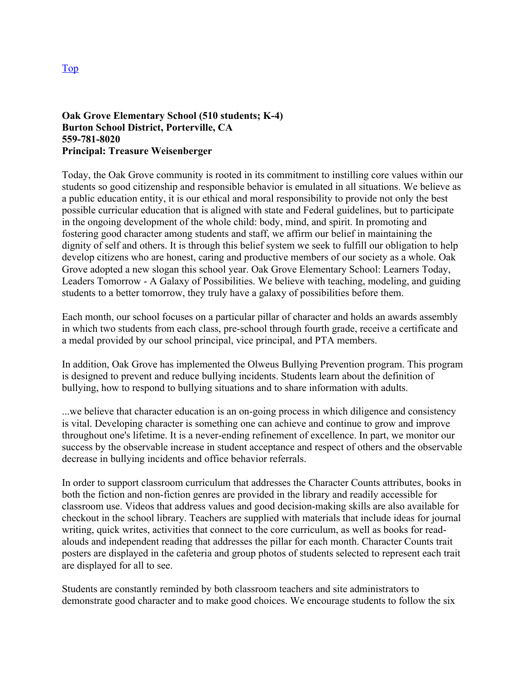#### **Oak Grove Elementary School (510 students; K-4) Burton School District, Porterville, CA 559-781-8020 Principal: Treasure Weisenberger**

Today, the Oak Grove community is rooted in its commitment to instilling core values within our students so good citizenship and responsible behavior is emulated in all situations. We believe as a public education entity, it is our ethical and moral responsibility to provide not only the best possible curricular education that is aligned with state and Federal guidelines, but to participate in the ongoing development of the whole child: body, mind, and spirit. In promoting and fostering good character among students and staff, we affirm our belief in maintaining the dignity of self and others. It is through this belief system we seek to fulfill our obligation to help develop citizens who are honest, caring and productive members of our society as a whole. Oak Grove adopted a new slogan this school year. Oak Grove Elementary School: Learners Today, Leaders Tomorrow - A Galaxy of Possibilities. We believe with teaching, modeling, and guiding students to a better tomorrow, they truly have a galaxy of possibilities before them.

Each month, our school focuses on a particular pillar of character and holds an awards assembly in which two students from each class, pre-school through fourth grade, receive a certificate and a medal provided by our school principal, vice principal, and PTA members.

In addition, Oak Grove has implemented the Olweus Bullying Prevention program. This program is designed to prevent and reduce bullying incidents. Students learn about the definition of bullying, how to respond to bullying situations and to share information with adults.

...we believe that character education is an on-going process in which diligence and consistency is vital. Developing character is something one can achieve and continue to grow and improve throughout one's lifetime. It is a never-ending refinement of excellence. In part, we monitor our success by the observable increase in student acceptance and respect of others and the observable decrease in bullying incidents and office behavior referrals.

In order to support classroom curriculum that addresses the Character Counts attributes, books in both the fiction and non-fiction genres are provided in the library and readily accessible for classroom use. Videos that address values and good decision-making skills are also available for checkout in the school library. Teachers are supplied with materials that include ideas for journal writing, quick writes, activities that connect to the core curriculum, as well as books for readalouds and independent reading that addresses the pillar for each month. Character Counts trait posters are displayed in the cafeteria and group photos of students selected to represent each trait are displayed for all to see.

Students are constantly reminded by both classroom teachers and site administrators to demonstrate good character and to make good choices. We encourage students to follow the six

Top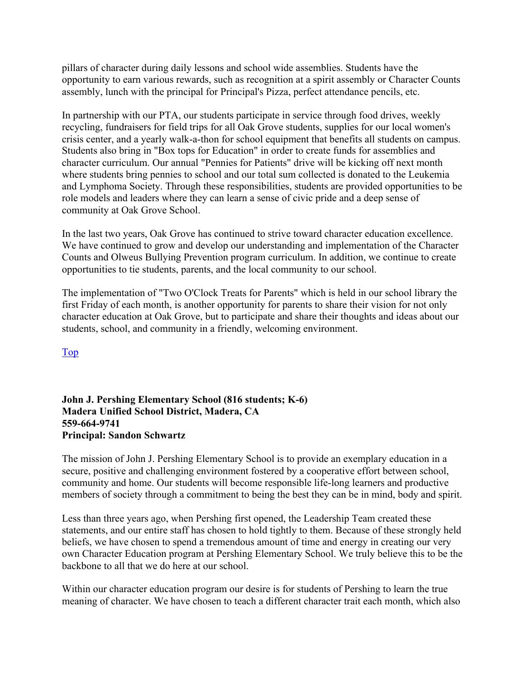pillars of character during daily lessons and school wide assemblies. Students have the opportunity to earn various rewards, such as recognition at a spirit assembly or Character Counts assembly, lunch with the principal for Principal's Pizza, perfect attendance pencils, etc.

In partnership with our PTA, our students participate in service through food drives, weekly recycling, fundraisers for field trips for all Oak Grove students, supplies for our local women's crisis center, and a yearly walk-a-thon for school equipment that benefits all students on campus. Students also bring in "Box tops for Education" in order to create funds for assemblies and character curriculum. Our annual "Pennies for Patients" drive will be kicking off next month where students bring pennies to school and our total sum collected is donated to the Leukemia and Lymphoma Society. Through these responsibilities, students are provided opportunities to be role models and leaders where they can learn a sense of civic pride and a deep sense of community at Oak Grove School.

In the last two years, Oak Grove has continued to strive toward character education excellence. We have continued to grow and develop our understanding and implementation of the Character Counts and Olweus Bullying Prevention program curriculum. In addition, we continue to create opportunities to tie students, parents, and the local community to our school.

The implementation of "Two O'Clock Treats for Parents" which is held in our school library the first Friday of each month, is another opportunity for parents to share their vision for not only character education at Oak Grove, but to participate and share their thoughts and ideas about our students, school, and community in a friendly, welcoming environment.

Top

#### **John J. Pershing Elementary School (816 students; K-6) Madera Unified School District, Madera, CA 559-664-9741 Principal: Sandon Schwartz**

The mission of John J. Pershing Elementary School is to provide an exemplary education in a secure, positive and challenging environment fostered by a cooperative effort between school, community and home. Our students will become responsible life-long learners and productive members of society through a commitment to being the best they can be in mind, body and spirit.

Less than three years ago, when Pershing first opened, the Leadership Team created these statements, and our entire staff has chosen to hold tightly to them. Because of these strongly held beliefs, we have chosen to spend a tremendous amount of time and energy in creating our very own Character Education program at Pershing Elementary School. We truly believe this to be the backbone to all that we do here at our school.

Within our character education program our desire is for students of Pershing to learn the true meaning of character. We have chosen to teach a different character trait each month, which also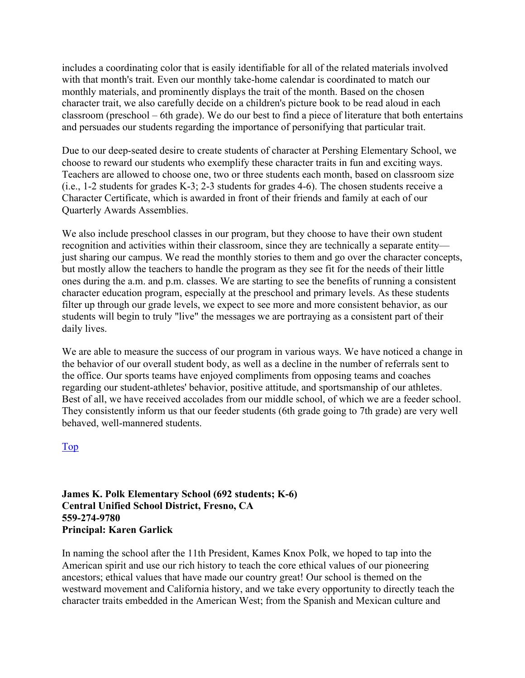includes a coordinating color that is easily identifiable for all of the related materials involved with that month's trait. Even our monthly take-home calendar is coordinated to match our monthly materials, and prominently displays the trait of the month. Based on the chosen character trait, we also carefully decide on a children's picture book to be read aloud in each classroom (preschool – 6th grade). We do our best to find a piece of literature that both entertains and persuades our students regarding the importance of personifying that particular trait.

Due to our deep-seated desire to create students of character at Pershing Elementary School, we choose to reward our students who exemplify these character traits in fun and exciting ways. Teachers are allowed to choose one, two or three students each month, based on classroom size (i.e., 1-2 students for grades K-3; 2-3 students for grades 4-6). The chosen students receive a Character Certificate, which is awarded in front of their friends and family at each of our Quarterly Awards Assemblies.

We also include preschool classes in our program, but they choose to have their own student recognition and activities within their classroom, since they are technically a separate entity just sharing our campus. We read the monthly stories to them and go over the character concepts, but mostly allow the teachers to handle the program as they see fit for the needs of their little ones during the a.m. and p.m. classes. We are starting to see the benefits of running a consistent character education program, especially at the preschool and primary levels. As these students filter up through our grade levels, we expect to see more and more consistent behavior, as our students will begin to truly "live" the messages we are portraying as a consistent part of their daily lives.

We are able to measure the success of our program in various ways. We have noticed a change in the behavior of our overall student body, as well as a decline in the number of referrals sent to the office. Our sports teams have enjoyed compliments from opposing teams and coaches regarding our student-athletes' behavior, positive attitude, and sportsmanship of our athletes. Best of all, we have received accolades from our middle school, of which we are a feeder school. They consistently inform us that our feeder students (6th grade going to 7th grade) are very well behaved, well-mannered students.

Top

**James K. Polk Elementary School (692 students; K-6) Central Unified School District, Fresno, CA 559-274-9780 Principal: Karen Garlick** 

In naming the school after the 11th President, Kames Knox Polk, we hoped to tap into the American spirit and use our rich history to teach the core ethical values of our pioneering ancestors; ethical values that have made our country great! Our school is themed on the westward movement and California history, and we take every opportunity to directly teach the character traits embedded in the American West; from the Spanish and Mexican culture and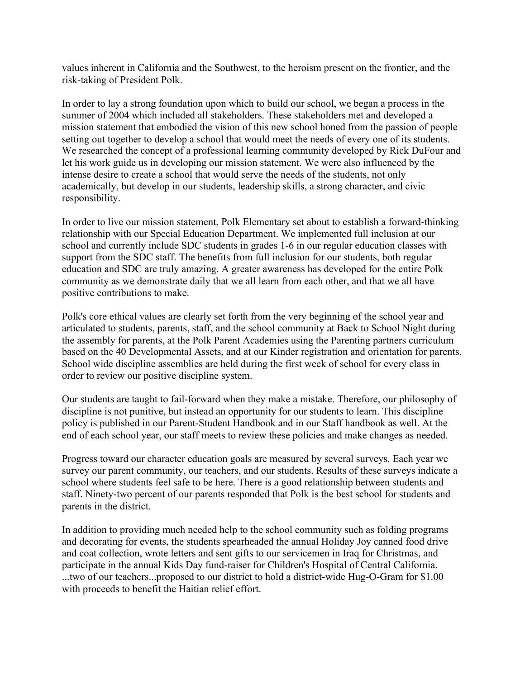values inherent in California and the Southwest, to the heroism present on the frontier, and the risk-taking of President Polk.

In order to lay a strong foundation upon which to build our school, we began a process in the summer of 2004 which included all stakeholders. These stakeholders met and developed a mission statement that embodied the vision of this new school honed from the passion of people setting out together to develop a school that would meet the needs of every one of its students. We researched the concept of a professional learning community developed by Rick DuFour and let his work guide us in developing our mission statement. We were also influenced by the intense desire to create a school that would serve the needs of the students, not only academically, but develop in our students, leadership skills, a strong character, and civic responsibility.

In order to live our mission statement, Polk Elementary set about to establish a forward-thinking relationship with our Special Education Department. We implemented full inclusion at our school and currently include SDC students in grades 1-6 in our regular education classes with support from the SDC staff. The benefits from full inclusion for our students, both regular education and SDC are truly amazing. A greater awareness has developed for the entire Polk community as we demonstrate daily that we all learn from each other, and that we all have positive contributions to make.

Polk's core ethical values are clearly set forth from the very beginning of the school year and articulated to students, parents, staff, and the school community at Back to School Night during the assembly for parents, at the Polk Parent Academies using the Parenting partners curriculum based on the 40 Developmental Assets, and at our Kinder registration and orientation for parents. School wide discipline assemblies are held during the first week of school for every class in order to review our positive discipline system.

Our students are taught to fail-forward when they make a mistake. Therefore, our philosophy of discipline is not punitive, but instead an opportunity for our students to learn. This discipline policy is published in our Parent-Student Handbook and in our Staff handbook as well. At the end of each school year, our staff meets to review these policies and make changes as needed.

Progress toward our character education goals are measured by several surveys. Each year we survey our parent community, our teachers, and our students. Results of these surveys indicate a school where students feel safe to be here. There is a good relationship between students and staff. Ninety-two percent of our parents responded that Polk is the best school for students and parents in the district.

In addition to providing much needed help to the school community such as folding programs and decorating for events, the students spearheaded the annual Holiday Joy canned food drive and coat collection, wrote letters and sent gifts to our servicemen in Iraq for Christmas, and participate in the annual Kids Day fund-raiser for Children's Hospital of Central California. ...two of our teachers...proposed to our district to hold a district-wide Hug-O-Gram for \$1.00 with proceeds to benefit the Haitian relief effort.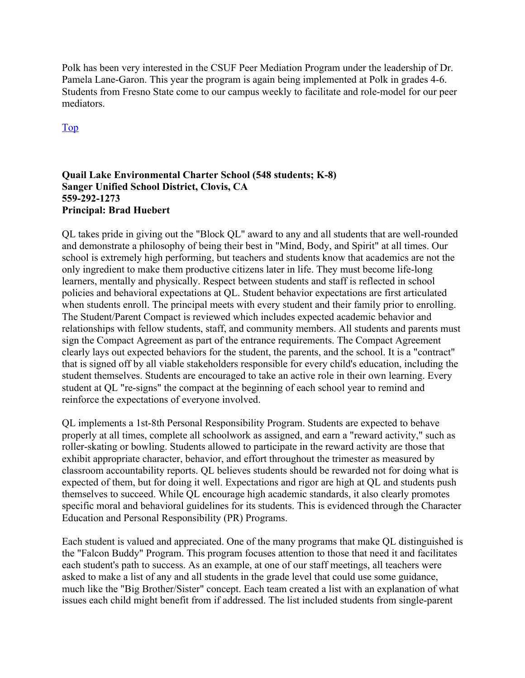Polk has been very interested in the CSUF Peer Mediation Program under the leadership of Dr. Pamela Lane-Garon. This year the program is again being implemented at Polk in grades 4-6. Students from Fresno State come to our campus weekly to facilitate and role-model for our peer mediators.

Top

#### **Quail Lake Environmental Charter School (548 students; K-8) Sanger Unified School District, Clovis, CA 559-292-1273 Principal: Brad Huebert**

QL takes pride in giving out the "Block QL" award to any and all students that are well-rounded and demonstrate a philosophy of being their best in "Mind, Body, and Spirit" at all times. Our school is extremely high performing, but teachers and students know that academics are not the only ingredient to make them productive citizens later in life. They must become life-long learners, mentally and physically. Respect between students and staff is reflected in school policies and behavioral expectations at QL. Student behavior expectations are first articulated when students enroll. The principal meets with every student and their family prior to enrolling. The Student/Parent Compact is reviewed which includes expected academic behavior and relationships with fellow students, staff, and community members. All students and parents must sign the Compact Agreement as part of the entrance requirements. The Compact Agreement clearly lays out expected behaviors for the student, the parents, and the school. It is a "contract" that is signed off by all viable stakeholders responsible for every child's education, including the student themselves. Students are encouraged to take an active role in their own learning. Every student at QL "re-signs" the compact at the beginning of each school year to remind and reinforce the expectations of everyone involved.

QL implements a 1st-8th Personal Responsibility Program. Students are expected to behave properly at all times, complete all schoolwork as assigned, and earn a "reward activity," such as roller-skating or bowling. Students allowed to participate in the reward activity are those that exhibit appropriate character, behavior, and effort throughout the trimester as measured by classroom accountability reports. QL believes students should be rewarded not for doing what is expected of them, but for doing it well. Expectations and rigor are high at QL and students push themselves to succeed. While QL encourage high academic standards, it also clearly promotes specific moral and behavioral guidelines for its students. This is evidenced through the Character Education and Personal Responsibility (PR) Programs.

Each student is valued and appreciated. One of the many programs that make QL distinguished is the "Falcon Buddy" Program. This program focuses attention to those that need it and facilitates each student's path to success. As an example, at one of our staff meetings, all teachers were asked to make a list of any and all students in the grade level that could use some guidance, much like the "Big Brother/Sister" concept. Each team created a list with an explanation of what issues each child might benefit from if addressed. The list included students from single-parent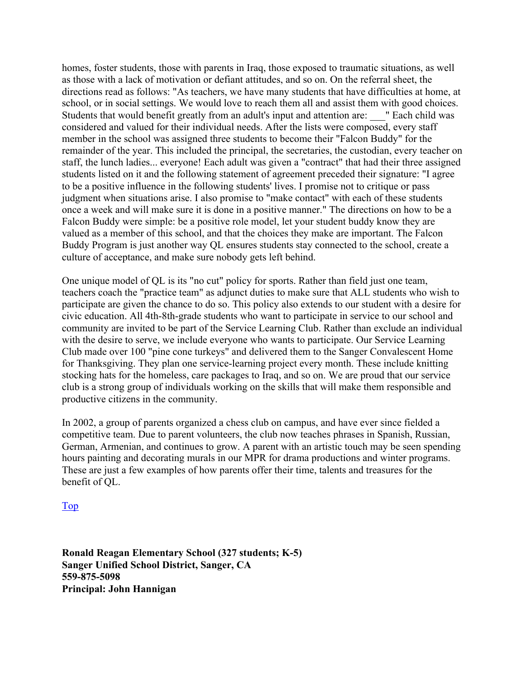homes, foster students, those with parents in Iraq, those exposed to traumatic situations, as well as those with a lack of motivation or defiant attitudes, and so on. On the referral sheet, the directions read as follows: "As teachers, we have many students that have difficulties at home, at school, or in social settings. We would love to reach them all and assist them with good choices. Students that would benefit greatly from an adult's input and attention are: " Each child was considered and valued for their individual needs. After the lists were composed, every staff member in the school was assigned three students to become their "Falcon Buddy" for the remainder of the year. This included the principal, the secretaries, the custodian, every teacher on staff, the lunch ladies... everyone! Each adult was given a "contract" that had their three assigned students listed on it and the following statement of agreement preceded their signature: "I agree to be a positive influence in the following students' lives. I promise not to critique or pass judgment when situations arise. I also promise to "make contact" with each of these students once a week and will make sure it is done in a positive manner." The directions on how to be a Falcon Buddy were simple: be a positive role model, let your student buddy know they are valued as a member of this school, and that the choices they make are important. The Falcon Buddy Program is just another way QL ensures students stay connected to the school, create a culture of acceptance, and make sure nobody gets left behind.

One unique model of QL is its "no cut" policy for sports. Rather than field just one team, teachers coach the "practice team" as adjunct duties to make sure that ALL students who wish to participate are given the chance to do so. This policy also extends to our student with a desire for civic education. All 4th-8th-grade students who want to participate in service to our school and community are invited to be part of the Service Learning Club. Rather than exclude an individual with the desire to serve, we include everyone who wants to participate. Our Service Learning Club made over 100 "pine cone turkeys" and delivered them to the Sanger Convalescent Home for Thanksgiving. They plan one service-learning project every month. These include knitting stocking hats for the homeless, care packages to Iraq, and so on. We are proud that our service club is a strong group of individuals working on the skills that will make them responsible and productive citizens in the community.

In 2002, a group of parents organized a chess club on campus, and have ever since fielded a competitive team. Due to parent volunteers, the club now teaches phrases in Spanish, Russian, German, Armenian, and continues to grow. A parent with an artistic touch may be seen spending hours painting and decorating murals in our MPR for drama productions and winter programs. These are just a few examples of how parents offer their time, talents and treasures for the benefit of QL.

#### Top

**Ronald Reagan Elementary School (327 students; K-5) Sanger Unified School District, Sanger, CA 559-875-5098 Principal: John Hannigan**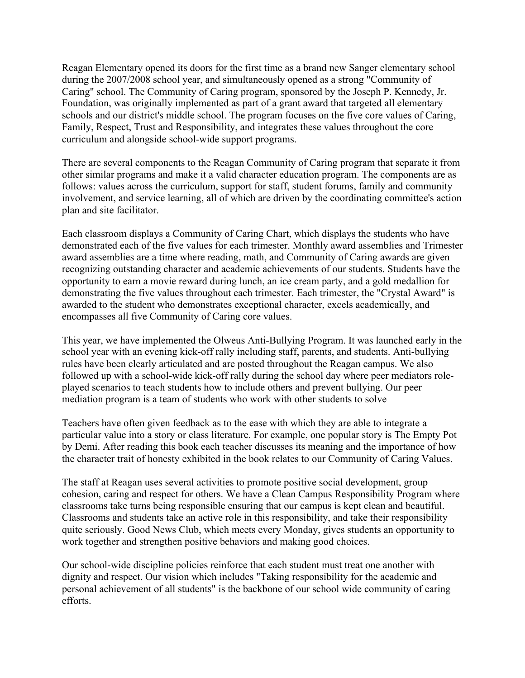Reagan Elementary opened its doors for the first time as a brand new Sanger elementary school during the 2007/2008 school year, and simultaneously opened as a strong "Community of Caring" school. The Community of Caring program, sponsored by the Joseph P. Kennedy, Jr. Foundation, was originally implemented as part of a grant award that targeted all elementary schools and our district's middle school. The program focuses on the five core values of Caring, Family, Respect, Trust and Responsibility, and integrates these values throughout the core curriculum and alongside school-wide support programs.

There are several components to the Reagan Community of Caring program that separate it from other similar programs and make it a valid character education program. The components are as follows: values across the curriculum, support for staff, student forums, family and community involvement, and service learning, all of which are driven by the coordinating committee's action plan and site facilitator.

Each classroom displays a Community of Caring Chart, which displays the students who have demonstrated each of the five values for each trimester. Monthly award assemblies and Trimester award assemblies are a time where reading, math, and Community of Caring awards are given recognizing outstanding character and academic achievements of our students. Students have the opportunity to earn a movie reward during lunch, an ice cream party, and a gold medallion for demonstrating the five values throughout each trimester. Each trimester, the "Crystal Award" is awarded to the student who demonstrates exceptional character, excels academically, and encompasses all five Community of Caring core values.

This year, we have implemented the Olweus Anti-Bullying Program. It was launched early in the school year with an evening kick-off rally including staff, parents, and students. Anti-bullying rules have been clearly articulated and are posted throughout the Reagan campus. We also followed up with a school-wide kick-off rally during the school day where peer mediators roleplayed scenarios to teach students how to include others and prevent bullying. Our peer mediation program is a team of students who work with other students to solve

Teachers have often given feedback as to the ease with which they are able to integrate a particular value into a story or class literature. For example, one popular story is The Empty Pot by Demi. After reading this book each teacher discusses its meaning and the importance of how the character trait of honesty exhibited in the book relates to our Community of Caring Values.

The staff at Reagan uses several activities to promote positive social development, group cohesion, caring and respect for others. We have a Clean Campus Responsibility Program where classrooms take turns being responsible ensuring that our campus is kept clean and beautiful. Classrooms and students take an active role in this responsibility, and take their responsibility quite seriously. Good News Club, which meets every Monday, gives students an opportunity to work together and strengthen positive behaviors and making good choices.

Our school-wide discipline policies reinforce that each student must treat one another with dignity and respect. Our vision which includes "Taking responsibility for the academic and personal achievement of all students" is the backbone of our school wide community of caring efforts.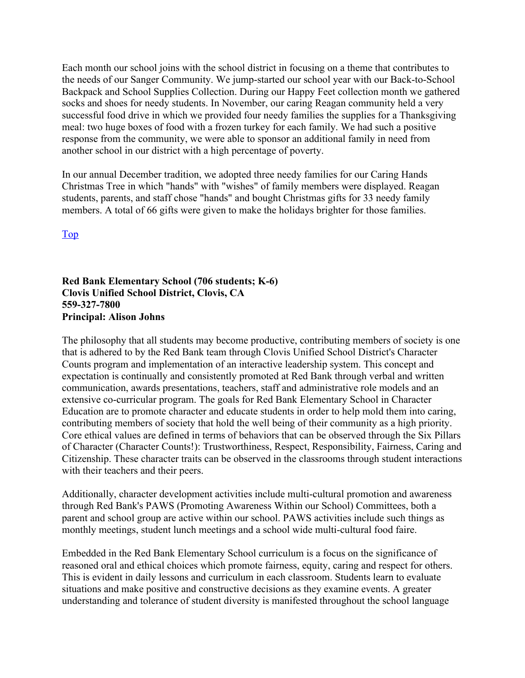Each month our school joins with the school district in focusing on a theme that contributes to the needs of our Sanger Community. We jump-started our school year with our Back-to-School Backpack and School Supplies Collection. During our Happy Feet collection month we gathered socks and shoes for needy students. In November, our caring Reagan community held a very successful food drive in which we provided four needy families the supplies for a Thanksgiving meal: two huge boxes of food with a frozen turkey for each family. We had such a positive response from the community, we were able to sponsor an additional family in need from another school in our district with a high percentage of poverty.

In our annual December tradition, we adopted three needy families for our Caring Hands Christmas Tree in which "hands" with "wishes" of family members were displayed. Reagan students, parents, and staff chose "hands" and bought Christmas gifts for 33 needy family members. A total of 66 gifts were given to make the holidays brighter for those families.

Top

**Red Bank Elementary School (706 students; K-6) Clovis Unified School District, Clovis, CA 559-327-7800 Principal: Alison Johns** 

The philosophy that all students may become productive, contributing members of society is one that is adhered to by the Red Bank team through Clovis Unified School District's Character Counts program and implementation of an interactive leadership system. This concept and expectation is continually and consistently promoted at Red Bank through verbal and written communication, awards presentations, teachers, staff and administrative role models and an extensive co-curricular program. The goals for Red Bank Elementary School in Character Education are to promote character and educate students in order to help mold them into caring, contributing members of society that hold the well being of their community as a high priority. Core ethical values are defined in terms of behaviors that can be observed through the Six Pillars of Character (Character Counts!): Trustworthiness, Respect, Responsibility, Fairness, Caring and Citizenship. These character traits can be observed in the classrooms through student interactions with their teachers and their peers.

Additionally, character development activities include multi-cultural promotion and awareness through Red Bank's PAWS (Promoting Awareness Within our School) Committees, both a parent and school group are active within our school. PAWS activities include such things as monthly meetings, student lunch meetings and a school wide multi-cultural food faire.

Embedded in the Red Bank Elementary School curriculum is a focus on the significance of reasoned oral and ethical choices which promote fairness, equity, caring and respect for others. This is evident in daily lessons and curriculum in each classroom. Students learn to evaluate situations and make positive and constructive decisions as they examine events. A greater understanding and tolerance of student diversity is manifested throughout the school language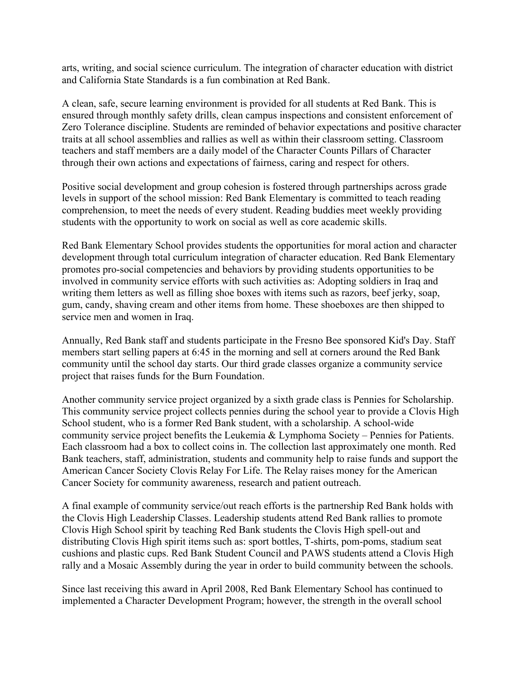arts, writing, and social science curriculum. The integration of character education with district and California State Standards is a fun combination at Red Bank.

A clean, safe, secure learning environment is provided for all students at Red Bank. This is ensured through monthly safety drills, clean campus inspections and consistent enforcement of Zero Tolerance discipline. Students are reminded of behavior expectations and positive character traits at all school assemblies and rallies as well as within their classroom setting. Classroom teachers and staff members are a daily model of the Character Counts Pillars of Character through their own actions and expectations of fairness, caring and respect for others.

Positive social development and group cohesion is fostered through partnerships across grade levels in support of the school mission: Red Bank Elementary is committed to teach reading comprehension, to meet the needs of every student. Reading buddies meet weekly providing students with the opportunity to work on social as well as core academic skills.

Red Bank Elementary School provides students the opportunities for moral action and character development through total curriculum integration of character education. Red Bank Elementary promotes pro-social competencies and behaviors by providing students opportunities to be involved in community service efforts with such activities as: Adopting soldiers in Iraq and writing them letters as well as filling shoe boxes with items such as razors, beef jerky, soap, gum, candy, shaving cream and other items from home. These shoeboxes are then shipped to service men and women in Iraq.

Annually, Red Bank staff and students participate in the Fresno Bee sponsored Kid's Day. Staff members start selling papers at 6:45 in the morning and sell at corners around the Red Bank community until the school day starts. Our third grade classes organize a community service project that raises funds for the Burn Foundation.

Another community service project organized by a sixth grade class is Pennies for Scholarship. This community service project collects pennies during the school year to provide a Clovis High School student, who is a former Red Bank student, with a scholarship. A school-wide community service project benefits the Leukemia & Lymphoma Society – Pennies for Patients. Each classroom had a box to collect coins in. The collection last approximately one month. Red Bank teachers, staff, administration, students and community help to raise funds and support the American Cancer Society Clovis Relay For Life. The Relay raises money for the American Cancer Society for community awareness, research and patient outreach.

A final example of community service/out reach efforts is the partnership Red Bank holds with the Clovis High Leadership Classes. Leadership students attend Red Bank rallies to promote Clovis High School spirit by teaching Red Bank students the Clovis High spell-out and distributing Clovis High spirit items such as: sport bottles, T-shirts, pom-poms, stadium seat cushions and plastic cups. Red Bank Student Council and PAWS students attend a Clovis High rally and a Mosaic Assembly during the year in order to build community between the schools.

Since last receiving this award in April 2008, Red Bank Elementary School has continued to implemented a Character Development Program; however, the strength in the overall school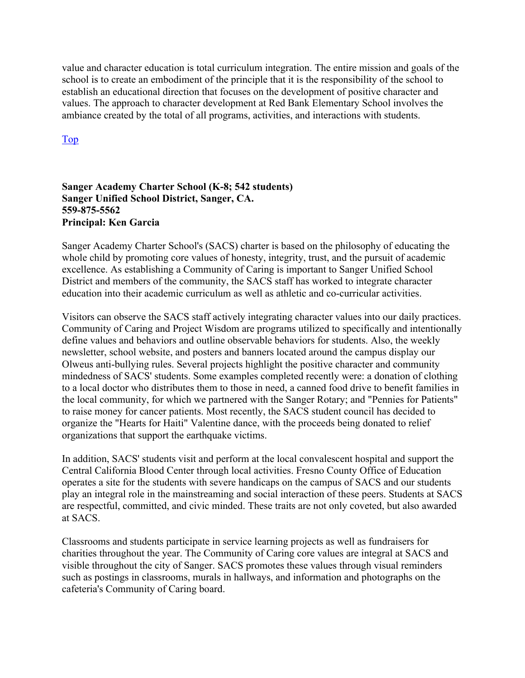value and character education is total curriculum integration. The entire mission and goals of the school is to create an embodiment of the principle that it is the responsibility of the school to establish an educational direction that focuses on the development of positive character and values. The approach to character development at Red Bank Elementary School involves the ambiance created by the total of all programs, activities, and interactions with students.

Top

#### **Sanger Academy Charter School (K-8; 542 students) Sanger Unified School District, Sanger, CA. 559-875-5562 Principal: Ken Garcia**

Sanger Academy Charter School's (SACS) charter is based on the philosophy of educating the whole child by promoting core values of honesty, integrity, trust, and the pursuit of academic excellence. As establishing a Community of Caring is important to Sanger Unified School District and members of the community, the SACS staff has worked to integrate character education into their academic curriculum as well as athletic and co-curricular activities.

Visitors can observe the SACS staff actively integrating character values into our daily practices. Community of Caring and Project Wisdom are programs utilized to specifically and intentionally define values and behaviors and outline observable behaviors for students. Also, the weekly newsletter, school website, and posters and banners located around the campus display our Olweus anti-bullying rules. Several projects highlight the positive character and community mindedness of SACS' students. Some examples completed recently were: a donation of clothing to a local doctor who distributes them to those in need, a canned food drive to benefit families in the local community, for which we partnered with the Sanger Rotary; and "Pennies for Patients" to raise money for cancer patients. Most recently, the SACS student council has decided to organize the "Hearts for Haiti" Valentine dance, with the proceeds being donated to relief organizations that support the earthquake victims.

In addition, SACS' students visit and perform at the local convalescent hospital and support the Central California Blood Center through local activities. Fresno County Office of Education operates a site for the students with severe handicaps on the campus of SACS and our students play an integral role in the mainstreaming and social interaction of these peers. Students at SACS are respectful, committed, and civic minded. These traits are not only coveted, but also awarded at SACS.

Classrooms and students participate in service learning projects as well as fundraisers for charities throughout the year. The Community of Caring core values are integral at SACS and visible throughout the city of Sanger. SACS promotes these values through visual reminders such as postings in classrooms, murals in hallways, and information and photographs on the cafeteria's Community of Caring board.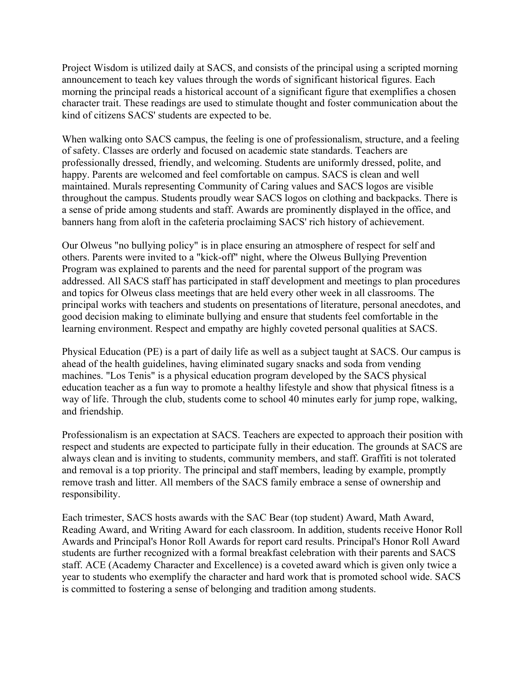Project Wisdom is utilized daily at SACS, and consists of the principal using a scripted morning announcement to teach key values through the words of significant historical figures. Each morning the principal reads a historical account of a significant figure that exemplifies a chosen character trait. These readings are used to stimulate thought and foster communication about the kind of citizens SACS' students are expected to be.

When walking onto SACS campus, the feeling is one of professionalism, structure, and a feeling of safety. Classes are orderly and focused on academic state standards. Teachers are professionally dressed, friendly, and welcoming. Students are uniformly dressed, polite, and happy. Parents are welcomed and feel comfortable on campus. SACS is clean and well maintained. Murals representing Community of Caring values and SACS logos are visible throughout the campus. Students proudly wear SACS logos on clothing and backpacks. There is a sense of pride among students and staff. Awards are prominently displayed in the office, and banners hang from aloft in the cafeteria proclaiming SACS' rich history of achievement.

Our Olweus "no bullying policy" is in place ensuring an atmosphere of respect for self and others. Parents were invited to a "kick-off" night, where the Olweus Bullying Prevention Program was explained to parents and the need for parental support of the program was addressed. All SACS staff has participated in staff development and meetings to plan procedures and topics for Olweus class meetings that are held every other week in all classrooms. The principal works with teachers and students on presentations of literature, personal anecdotes, and good decision making to eliminate bullying and ensure that students feel comfortable in the learning environment. Respect and empathy are highly coveted personal qualities at SACS.

Physical Education (PE) is a part of daily life as well as a subject taught at SACS. Our campus is ahead of the health guidelines, having eliminated sugary snacks and soda from vending machines. "Los Tenis" is a physical education program developed by the SACS physical education teacher as a fun way to promote a healthy lifestyle and show that physical fitness is a way of life. Through the club, students come to school 40 minutes early for jump rope, walking, and friendship.

Professionalism is an expectation at SACS. Teachers are expected to approach their position with respect and students are expected to participate fully in their education. The grounds at SACS are always clean and is inviting to students, community members, and staff. Graffiti is not tolerated and removal is a top priority. The principal and staff members, leading by example, promptly remove trash and litter. All members of the SACS family embrace a sense of ownership and responsibility.

Each trimester, SACS hosts awards with the SAC Bear (top student) Award, Math Award, Reading Award, and Writing Award for each classroom. In addition, students receive Honor Roll Awards and Principal's Honor Roll Awards for report card results. Principal's Honor Roll Award students are further recognized with a formal breakfast celebration with their parents and SACS staff. ACE (Academy Character and Excellence) is a coveted award which is given only twice a year to students who exemplify the character and hard work that is promoted school wide. SACS is committed to fostering a sense of belonging and tradition among students.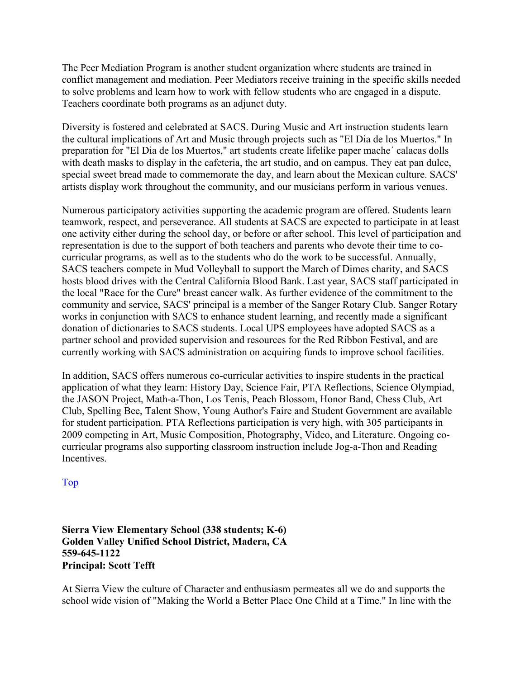The Peer Mediation Program is another student organization where students are trained in conflict management and mediation. Peer Mediators receive training in the specific skills needed to solve problems and learn how to work with fellow students who are engaged in a dispute. Teachers coordinate both programs as an adjunct duty.

Diversity is fostered and celebrated at SACS. During Music and Art instruction students learn the cultural implications of Art and Music through projects such as "El Dia de los Muertos." In preparation for "El Dia de los Muertos," art students create lifelike paper mache´ calacas dolls with death masks to display in the cafeteria, the art studio, and on campus. They eat pan dulce, special sweet bread made to commemorate the day, and learn about the Mexican culture. SACS' artists display work throughout the community, and our musicians perform in various venues.

Numerous participatory activities supporting the academic program are offered. Students learn teamwork, respect, and perseverance. All students at SACS are expected to participate in at least one activity either during the school day, or before or after school. This level of participation and representation is due to the support of both teachers and parents who devote their time to cocurricular programs, as well as to the students who do the work to be successful. Annually, SACS teachers compete in Mud Volleyball to support the March of Dimes charity, and SACS hosts blood drives with the Central California Blood Bank. Last year, SACS staff participated in the local "Race for the Cure" breast cancer walk. As further evidence of the commitment to the community and service, SACS' principal is a member of the Sanger Rotary Club. Sanger Rotary works in conjunction with SACS to enhance student learning, and recently made a significant donation of dictionaries to SACS students. Local UPS employees have adopted SACS as a partner school and provided supervision and resources for the Red Ribbon Festival, and are currently working with SACS administration on acquiring funds to improve school facilities.

In addition, SACS offers numerous co-curricular activities to inspire students in the practical application of what they learn: History Day, Science Fair, PTA Reflections, Science Olympiad, the JASON Project, Math-a-Thon, Los Tenis, Peach Blossom, Honor Band, Chess Club, Art Club, Spelling Bee, Talent Show, Young Author's Faire and Student Government are available for student participation. PTA Reflections participation is very high, with 305 participants in 2009 competing in Art, Music Composition, Photography, Video, and Literature. Ongoing cocurricular programs also supporting classroom instruction include Jog-a-Thon and Reading Incentives.

Top

#### **Sierra View Elementary School (338 students; K-6) Golden Valley Unified School District, Madera, CA 559-645-1122 Principal: Scott Tefft**

At Sierra View the culture of Character and enthusiasm permeates all we do and supports the school wide vision of "Making the World a Better Place One Child at a Time." In line with the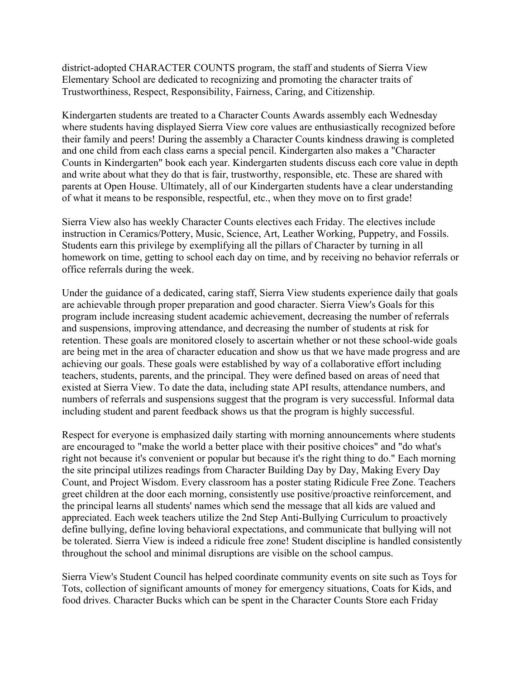district-adopted CHARACTER COUNTS program, the staff and students of Sierra View Elementary School are dedicated to recognizing and promoting the character traits of Trustworthiness, Respect, Responsibility, Fairness, Caring, and Citizenship.

Kindergarten students are treated to a Character Counts Awards assembly each Wednesday where students having displayed Sierra View core values are enthusiastically recognized before their family and peers! During the assembly a Character Counts kindness drawing is completed and one child from each class earns a special pencil. Kindergarten also makes a "Character Counts in Kindergarten" book each year. Kindergarten students discuss each core value in depth and write about what they do that is fair, trustworthy, responsible, etc. These are shared with parents at Open House. Ultimately, all of our Kindergarten students have a clear understanding of what it means to be responsible, respectful, etc., when they move on to first grade!

Sierra View also has weekly Character Counts electives each Friday. The electives include instruction in Ceramics/Pottery, Music, Science, Art, Leather Working, Puppetry, and Fossils. Students earn this privilege by exemplifying all the pillars of Character by turning in all homework on time, getting to school each day on time, and by receiving no behavior referrals or office referrals during the week.

Under the guidance of a dedicated, caring staff, Sierra View students experience daily that goals are achievable through proper preparation and good character. Sierra View's Goals for this program include increasing student academic achievement, decreasing the number of referrals and suspensions, improving attendance, and decreasing the number of students at risk for retention. These goals are monitored closely to ascertain whether or not these school-wide goals are being met in the area of character education and show us that we have made progress and are achieving our goals. These goals were established by way of a collaborative effort including teachers, students, parents, and the principal. They were defined based on areas of need that existed at Sierra View. To date the data, including state API results, attendance numbers, and numbers of referrals and suspensions suggest that the program is very successful. Informal data including student and parent feedback shows us that the program is highly successful.

Respect for everyone is emphasized daily starting with morning announcements where students are encouraged to "make the world a better place with their positive choices" and "do what's right not because it's convenient or popular but because it's the right thing to do." Each morning the site principal utilizes readings from Character Building Day by Day, Making Every Day Count, and Project Wisdom. Every classroom has a poster stating Ridicule Free Zone. Teachers greet children at the door each morning, consistently use positive/proactive reinforcement, and the principal learns all students' names which send the message that all kids are valued and appreciated. Each week teachers utilize the 2nd Step Anti-Bullying Curriculum to proactively define bullying, define loving behavioral expectations, and communicate that bullying will not be tolerated. Sierra View is indeed a ridicule free zone! Student discipline is handled consistently throughout the school and minimal disruptions are visible on the school campus.

Sierra View's Student Council has helped coordinate community events on site such as Toys for Tots, collection of significant amounts of money for emergency situations, Coats for Kids, and food drives. Character Bucks which can be spent in the Character Counts Store each Friday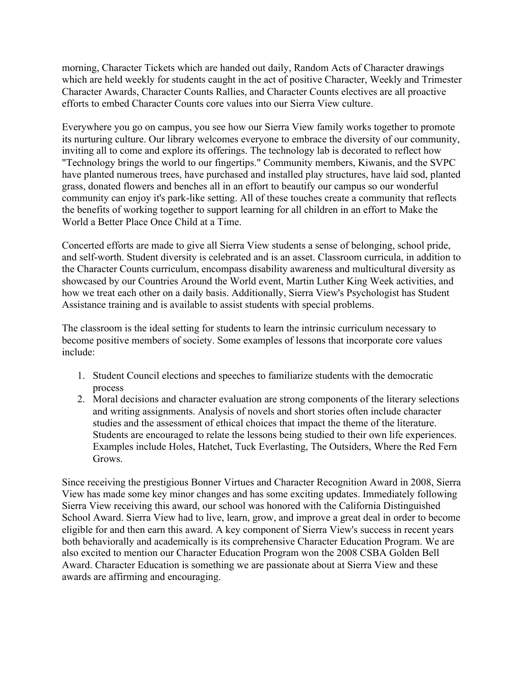morning, Character Tickets which are handed out daily, Random Acts of Character drawings which are held weekly for students caught in the act of positive Character, Weekly and Trimester Character Awards, Character Counts Rallies, and Character Counts electives are all proactive efforts to embed Character Counts core values into our Sierra View culture.

Everywhere you go on campus, you see how our Sierra View family works together to promote its nurturing culture. Our library welcomes everyone to embrace the diversity of our community, inviting all to come and explore its offerings. The technology lab is decorated to reflect how "Technology brings the world to our fingertips." Community members, Kiwanis, and the SVPC have planted numerous trees, have purchased and installed play structures, have laid sod, planted grass, donated flowers and benches all in an effort to beautify our campus so our wonderful community can enjoy it's park-like setting. All of these touches create a community that reflects the benefits of working together to support learning for all children in an effort to Make the World a Better Place Once Child at a Time.

Concerted efforts are made to give all Sierra View students a sense of belonging, school pride, and self-worth. Student diversity is celebrated and is an asset. Classroom curricula, in addition to the Character Counts curriculum, encompass disability awareness and multicultural diversity as showcased by our Countries Around the World event, Martin Luther King Week activities, and how we treat each other on a daily basis. Additionally, Sierra View's Psychologist has Student Assistance training and is available to assist students with special problems.

The classroom is the ideal setting for students to learn the intrinsic curriculum necessary to become positive members of society. Some examples of lessons that incorporate core values include:

- 1. Student Council elections and speeches to familiarize students with the democratic process
- 2. Moral decisions and character evaluation are strong components of the literary selections and writing assignments. Analysis of novels and short stories often include character studies and the assessment of ethical choices that impact the theme of the literature. Students are encouraged to relate the lessons being studied to their own life experiences. Examples include Holes, Hatchet, Tuck Everlasting, The Outsiders, Where the Red Fern Grows.

Since receiving the prestigious Bonner Virtues and Character Recognition Award in 2008, Sierra View has made some key minor changes and has some exciting updates. Immediately following Sierra View receiving this award, our school was honored with the California Distinguished School Award. Sierra View had to live, learn, grow, and improve a great deal in order to become eligible for and then earn this award. A key component of Sierra View's success in recent years both behaviorally and academically is its comprehensive Character Education Program. We are also excited to mention our Character Education Program won the 2008 CSBA Golden Bell Award. Character Education is something we are passionate about at Sierra View and these awards are affirming and encouraging.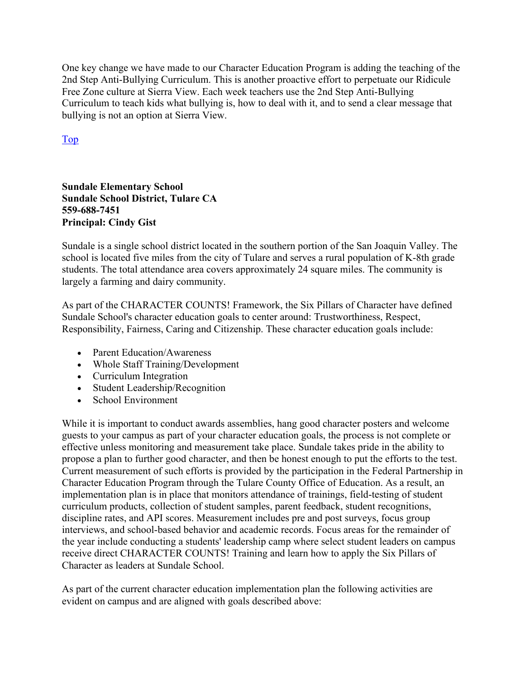One key change we have made to our Character Education Program is adding the teaching of the 2nd Step Anti-Bullying Curriculum. This is another proactive effort to perpetuate our Ridicule Free Zone culture at Sierra View. Each week teachers use the 2nd Step Anti-Bullying Curriculum to teach kids what bullying is, how to deal with it, and to send a clear message that bullying is not an option at Sierra View.

Top

**Sundale Elementary School Sundale School District, Tulare CA 559-688-7451 Principal: Cindy Gist** 

Sundale is a single school district located in the southern portion of the San Joaquin Valley. The school is located five miles from the city of Tulare and serves a rural population of K-8th grade students. The total attendance area covers approximately 24 square miles. The community is largely a farming and dairy community.

As part of the CHARACTER COUNTS! Framework, the Six Pillars of Character have defined Sundale School's character education goals to center around: Trustworthiness, Respect, Responsibility, Fairness, Caring and Citizenship. These character education goals include:

- Parent Education/Awareness
- Whole Staff Training/Development
- Curriculum Integration
- Student Leadership/Recognition
- School Environment

While it is important to conduct awards assemblies, hang good character posters and welcome guests to your campus as part of your character education goals, the process is not complete or effective unless monitoring and measurement take place. Sundale takes pride in the ability to propose a plan to further good character, and then be honest enough to put the efforts to the test. Current measurement of such efforts is provided by the participation in the Federal Partnership in Character Education Program through the Tulare County Office of Education. As a result, an implementation plan is in place that monitors attendance of trainings, field-testing of student curriculum products, collection of student samples, parent feedback, student recognitions, discipline rates, and API scores. Measurement includes pre and post surveys, focus group interviews, and school-based behavior and academic records. Focus areas for the remainder of the year include conducting a students' leadership camp where select student leaders on campus receive direct CHARACTER COUNTS! Training and learn how to apply the Six Pillars of Character as leaders at Sundale School.

As part of the current character education implementation plan the following activities are evident on campus and are aligned with goals described above: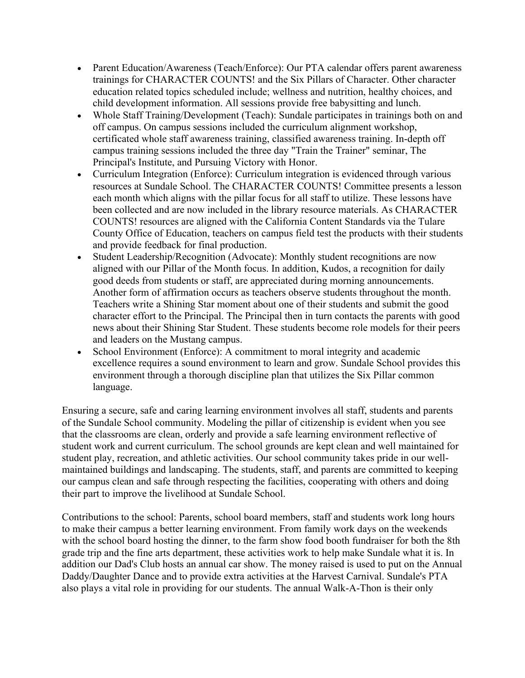- Parent Education/Awareness (Teach/Enforce): Our PTA calendar offers parent awareness trainings for CHARACTER COUNTS! and the Six Pillars of Character. Other character education related topics scheduled include; wellness and nutrition, healthy choices, and child development information. All sessions provide free babysitting and lunch.
- Whole Staff Training/Development (Teach): Sundale participates in trainings both on and off campus. On campus sessions included the curriculum alignment workshop, certificated whole staff awareness training, classified awareness training. In-depth off campus training sessions included the three day "Train the Trainer" seminar, The Principal's Institute, and Pursuing Victory with Honor.
- Curriculum Integration (Enforce): Curriculum integration is evidenced through various resources at Sundale School. The CHARACTER COUNTS! Committee presents a lesson each month which aligns with the pillar focus for all staff to utilize. These lessons have been collected and are now included in the library resource materials. As CHARACTER COUNTS! resources are aligned with the California Content Standards via the Tulare County Office of Education, teachers on campus field test the products with their students and provide feedback for final production.
- Student Leadership/Recognition (Advocate): Monthly student recognitions are now aligned with our Pillar of the Month focus. In addition, Kudos, a recognition for daily good deeds from students or staff, are appreciated during morning announcements. Another form of affirmation occurs as teachers observe students throughout the month. Teachers write a Shining Star moment about one of their students and submit the good character effort to the Principal. The Principal then in turn contacts the parents with good news about their Shining Star Student. These students become role models for their peers and leaders on the Mustang campus.
- School Environment (Enforce): A commitment to moral integrity and academic excellence requires a sound environment to learn and grow. Sundale School provides this environment through a thorough discipline plan that utilizes the Six Pillar common language.

Ensuring a secure, safe and caring learning environment involves all staff, students and parents of the Sundale School community. Modeling the pillar of citizenship is evident when you see that the classrooms are clean, orderly and provide a safe learning environment reflective of student work and current curriculum. The school grounds are kept clean and well maintained for student play, recreation, and athletic activities. Our school community takes pride in our wellmaintained buildings and landscaping. The students, staff, and parents are committed to keeping our campus clean and safe through respecting the facilities, cooperating with others and doing their part to improve the livelihood at Sundale School.

Contributions to the school: Parents, school board members, staff and students work long hours to make their campus a better learning environment. From family work days on the weekends with the school board hosting the dinner, to the farm show food booth fundraiser for both the 8th grade trip and the fine arts department, these activities work to help make Sundale what it is. In addition our Dad's Club hosts an annual car show. The money raised is used to put on the Annual Daddy/Daughter Dance and to provide extra activities at the Harvest Carnival. Sundale's PTA also plays a vital role in providing for our students. The annual Walk-A-Thon is their only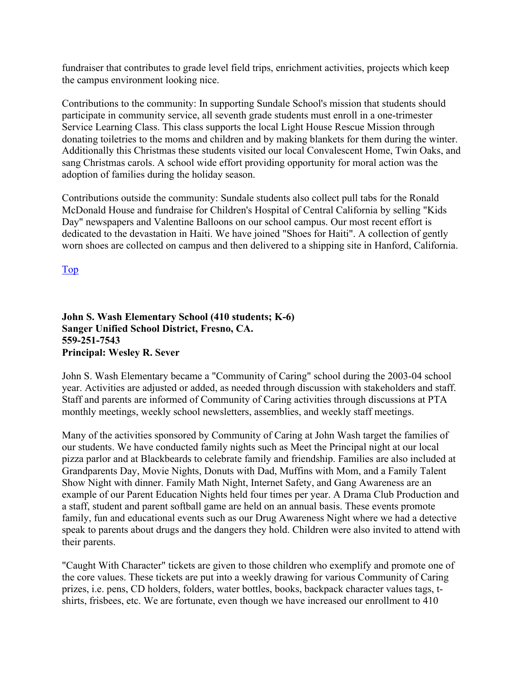fundraiser that contributes to grade level field trips, enrichment activities, projects which keep the campus environment looking nice.

Contributions to the community: In supporting Sundale School's mission that students should participate in community service, all seventh grade students must enroll in a one-trimester Service Learning Class. This class supports the local Light House Rescue Mission through donating toiletries to the moms and children and by making blankets for them during the winter. Additionally this Christmas these students visited our local Convalescent Home, Twin Oaks, and sang Christmas carols. A school wide effort providing opportunity for moral action was the adoption of families during the holiday season.

Contributions outside the community: Sundale students also collect pull tabs for the Ronald McDonald House and fundraise for Children's Hospital of Central California by selling "Kids Day" newspapers and Valentine Balloons on our school campus. Our most recent effort is dedicated to the devastation in Haiti. We have joined "Shoes for Haiti". A collection of gently worn shoes are collected on campus and then delivered to a shipping site in Hanford, California.

Top

#### **John S. Wash Elementary School (410 students; K-6) Sanger Unified School District, Fresno, CA. 559-251-7543 Principal: Wesley R. Sever**

John S. Wash Elementary became a "Community of Caring" school during the 2003-04 school year. Activities are adjusted or added, as needed through discussion with stakeholders and staff. Staff and parents are informed of Community of Caring activities through discussions at PTA monthly meetings, weekly school newsletters, assemblies, and weekly staff meetings.

Many of the activities sponsored by Community of Caring at John Wash target the families of our students. We have conducted family nights such as Meet the Principal night at our local pizza parlor and at Blackbeards to celebrate family and friendship. Families are also included at Grandparents Day, Movie Nights, Donuts with Dad, Muffins with Mom, and a Family Talent Show Night with dinner. Family Math Night, Internet Safety, and Gang Awareness are an example of our Parent Education Nights held four times per year. A Drama Club Production and a staff, student and parent softball game are held on an annual basis. These events promote family, fun and educational events such as our Drug Awareness Night where we had a detective speak to parents about drugs and the dangers they hold. Children were also invited to attend with their parents.

"Caught With Character" tickets are given to those children who exemplify and promote one of the core values. These tickets are put into a weekly drawing for various Community of Caring prizes, i.e. pens, CD holders, folders, water bottles, books, backpack character values tags, tshirts, frisbees, etc. We are fortunate, even though we have increased our enrollment to 410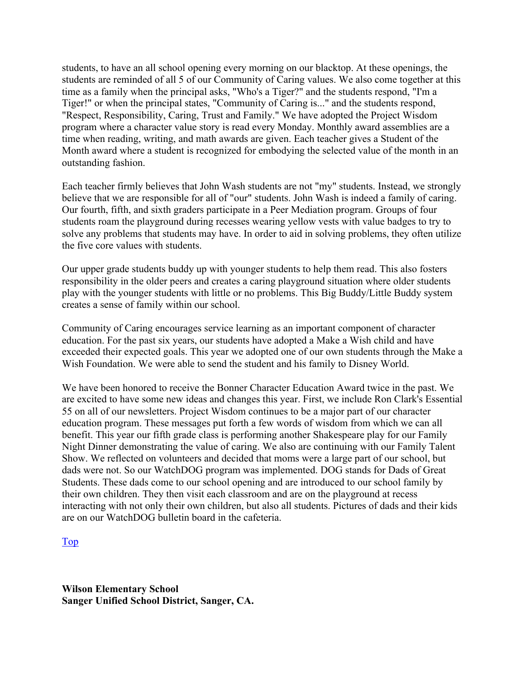students, to have an all school opening every morning on our blacktop. At these openings, the students are reminded of all 5 of our Community of Caring values. We also come together at this time as a family when the principal asks, "Who's a Tiger?" and the students respond, "I'm a Tiger!" or when the principal states, "Community of Caring is..." and the students respond, "Respect, Responsibility, Caring, Trust and Family." We have adopted the Project Wisdom program where a character value story is read every Monday. Monthly award assemblies are a time when reading, writing, and math awards are given. Each teacher gives a Student of the Month award where a student is recognized for embodying the selected value of the month in an outstanding fashion.

Each teacher firmly believes that John Wash students are not "my" students. Instead, we strongly believe that we are responsible for all of "our" students. John Wash is indeed a family of caring. Our fourth, fifth, and sixth graders participate in a Peer Mediation program. Groups of four students roam the playground during recesses wearing yellow vests with value badges to try to solve any problems that students may have. In order to aid in solving problems, they often utilize the five core values with students.

Our upper grade students buddy up with younger students to help them read. This also fosters responsibility in the older peers and creates a caring playground situation where older students play with the younger students with little or no problems. This Big Buddy/Little Buddy system creates a sense of family within our school.

Community of Caring encourages service learning as an important component of character education. For the past six years, our students have adopted a Make a Wish child and have exceeded their expected goals. This year we adopted one of our own students through the Make a Wish Foundation. We were able to send the student and his family to Disney World.

We have been honored to receive the Bonner Character Education Award twice in the past. We are excited to have some new ideas and changes this year. First, we include Ron Clark's Essential 55 on all of our newsletters. Project Wisdom continues to be a major part of our character education program. These messages put forth a few words of wisdom from which we can all benefit. This year our fifth grade class is performing another Shakespeare play for our Family Night Dinner demonstrating the value of caring. We also are continuing with our Family Talent Show. We reflected on volunteers and decided that moms were a large part of our school, but dads were not. So our WatchDOG program was implemented. DOG stands for Dads of Great Students. These dads come to our school opening and are introduced to our school family by their own children. They then visit each classroom and are on the playground at recess interacting with not only their own children, but also all students. Pictures of dads and their kids are on our WatchDOG bulletin board in the cafeteria.

#### Top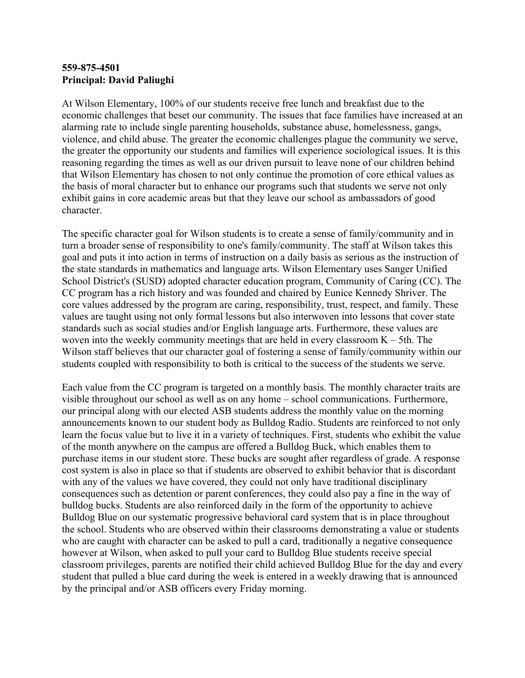#### **559-875-4501 Principal: David Paliughi**

At Wilson Elementary, 100% of our students receive free lunch and breakfast due to the economic challenges that beset our community. The issues that face families have increased at an alarming rate to include single parenting households, substance abuse, homelessness, gangs, violence, and child abuse. The greater the economic challenges plague the community we serve, the greater the opportunity our students and families will experience sociological issues. It is this reasoning regarding the times as well as our driven pursuit to leave none of our children behind that Wilson Elementary has chosen to not only continue the promotion of core ethical values as the basis of moral character but to enhance our programs such that students we serve not only exhibit gains in core academic areas but that they leave our school as ambassadors of good character.

The specific character goal for Wilson students is to create a sense of family/community and in turn a broader sense of responsibility to one's family/community. The staff at Wilson takes this goal and puts it into action in terms of instruction on a daily basis as serious as the instruction of the state standards in mathematics and language arts. Wilson Elementary uses Sanger Unified School District's (SUSD) adopted character education program, Community of Caring (CC). The CC program has a rich history and was founded and chaired by Eunice Kennedy Shriver. The core values addressed by the program are caring, responsibility, trust, respect, and family. These values are taught using not only formal lessons but also interwoven into lessons that cover state standards such as social studies and/or English language arts. Furthermore, these values are woven into the weekly community meetings that are held in every classroom  $K - 5$ th. The Wilson staff believes that our character goal of fostering a sense of family/community within our students coupled with responsibility to both is critical to the success of the students we serve.

Each value from the CC program is targeted on a monthly basis. The monthly character traits are visible throughout our school as well as on any home – school communications. Furthermore, our principal along with our elected ASB students address the monthly value on the morning announcements known to our student body as Bulldog Radio. Students are reinforced to not only learn the focus value but to live it in a variety of techniques. First, students who exhibit the value of the month anywhere on the campus are offered a Bulldog Buck, which enables them to purchase items in our student store. These bucks are sought after regardless of grade. A response cost system is also in place so that if students are observed to exhibit behavior that is discordant with any of the values we have covered, they could not only have traditional disciplinary consequences such as detention or parent conferences, they could also pay a fine in the way of bulldog bucks. Students are also reinforced daily in the form of the opportunity to achieve Bulldog Blue on our systematic progressive behavioral card system that is in place throughout the school. Students who are observed within their classrooms demonstrating a value or students who are caught with character can be asked to pull a card, traditionally a negative consequence however at Wilson, when asked to pull your card to Bulldog Blue students receive special classroom privileges, parents are notified their child achieved Bulldog Blue for the day and every student that pulled a blue card during the week is entered in a weekly drawing that is announced by the principal and/or ASB officers every Friday morning.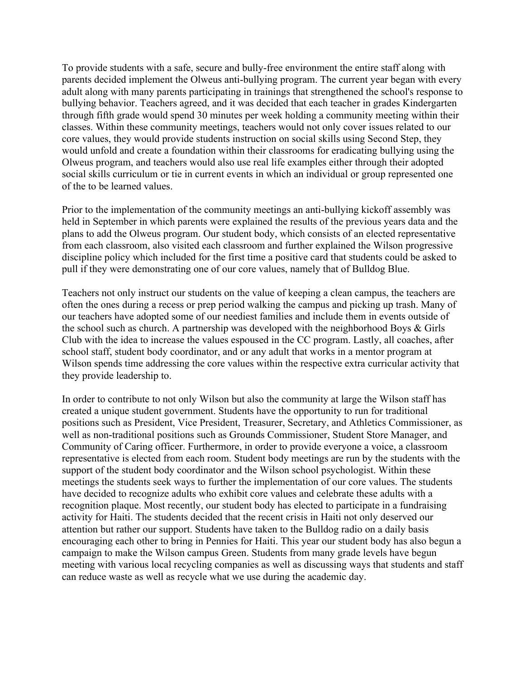To provide students with a safe, secure and bully-free environment the entire staff along with parents decided implement the Olweus anti-bullying program. The current year began with every adult along with many parents participating in trainings that strengthened the school's response to bullying behavior. Teachers agreed, and it was decided that each teacher in grades Kindergarten through fifth grade would spend 30 minutes per week holding a community meeting within their classes. Within these community meetings, teachers would not only cover issues related to our core values, they would provide students instruction on social skills using Second Step, they would unfold and create a foundation within their classrooms for eradicating bullying using the Olweus program, and teachers would also use real life examples either through their adopted social skills curriculum or tie in current events in which an individual or group represented one of the to be learned values.

Prior to the implementation of the community meetings an anti-bullying kickoff assembly was held in September in which parents were explained the results of the previous years data and the plans to add the Olweus program. Our student body, which consists of an elected representative from each classroom, also visited each classroom and further explained the Wilson progressive discipline policy which included for the first time a positive card that students could be asked to pull if they were demonstrating one of our core values, namely that of Bulldog Blue.

Teachers not only instruct our students on the value of keeping a clean campus, the teachers are often the ones during a recess or prep period walking the campus and picking up trash. Many of our teachers have adopted some of our neediest families and include them in events outside of the school such as church. A partnership was developed with the neighborhood Boys & Girls Club with the idea to increase the values espoused in the CC program. Lastly, all coaches, after school staff, student body coordinator, and or any adult that works in a mentor program at Wilson spends time addressing the core values within the respective extra curricular activity that they provide leadership to.

In order to contribute to not only Wilson but also the community at large the Wilson staff has created a unique student government. Students have the opportunity to run for traditional positions such as President, Vice President, Treasurer, Secretary, and Athletics Commissioner, as well as non-traditional positions such as Grounds Commissioner, Student Store Manager, and Community of Caring officer. Furthermore, in order to provide everyone a voice, a classroom representative is elected from each room. Student body meetings are run by the students with the support of the student body coordinator and the Wilson school psychologist. Within these meetings the students seek ways to further the implementation of our core values. The students have decided to recognize adults who exhibit core values and celebrate these adults with a recognition plaque. Most recently, our student body has elected to participate in a fundraising activity for Haiti. The students decided that the recent crisis in Haiti not only deserved our attention but rather our support. Students have taken to the Bulldog radio on a daily basis encouraging each other to bring in Pennies for Haiti. This year our student body has also begun a campaign to make the Wilson campus Green. Students from many grade levels have begun meeting with various local recycling companies as well as discussing ways that students and staff can reduce waste as well as recycle what we use during the academic day.